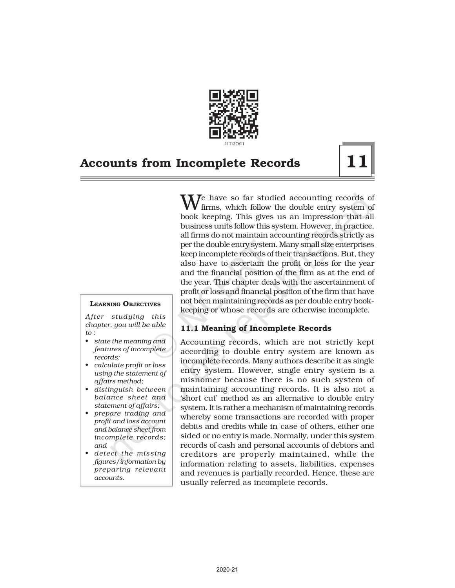

 $\mathcal T$ e have so far studied accounting records of firms, which follow the double entry system of book keeping. This gives us an impression that all business units follow this system. However, in practice, all firms do not maintain accounting records strictly as per the double entry system. Many small size enterprises keep incomplete records of their transactions. But, they also have to ascertain the profit or loss for the year and the financial position of the firm as at the end of the year. This chapter deals with the ascertainment of profit or loss and financial position of the firm that have not been maintaining records as per double entry bookkeeping or whose records are otherwise incomplete.

### LEARNING OBJECTIVES

*After studying this chapter, you will be able to :*

- *state the meaning and features of incomplete records;*
- *calculate profit or loss using the statement of affairs method;*
- *distinguish between balance sheet and statement of affairs;*
- *prepare trading and profit and loss account and balance sheet from incomplete records; and*
- *detect the missing figures/information by preparing relevant accounts.*

## 11.1 Meaning of Incomplete Records

Accounting records, which are not strictly kept according to double entry system are known as incomplete records. Many authors describe it as single entry system. However, single entry system is a misnomer because there is no such system of maintaining accounting records. It is also not a 'short cut' method as an alternative to double entry system. It is rather a mechanism of maintaining records whereby some transactions are recorded with proper debits and credits while in case of others, either one sided or no entry is made. Normally, under this system records of cash and personal accounts of debtors and creditors are properly maintained, while the information relating to assets, liabilities, expenses and revenues is partially recorded. Hence, these are usually referred as incomplete records.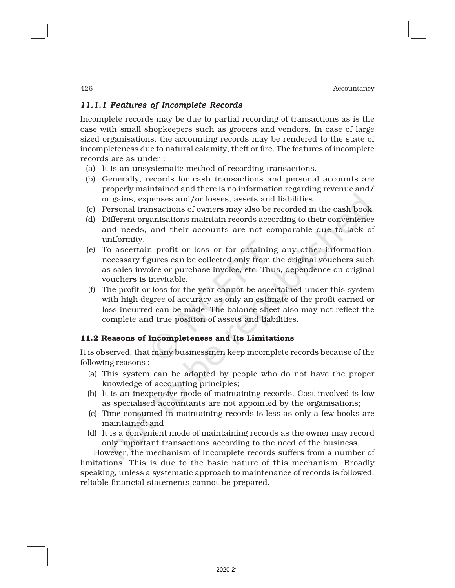## *11.1.1 Features of Incomplete Records*

Incomplete records may be due to partial recording of transactions as is the case with small shopkeepers such as grocers and vendors. In case of large sized organisations, the accounting records may be rendered to the state of incompleteness due to natural calamity, theft or fire. The features of incomplete records are as under :

- (a) It is an unsystematic method of recording transactions.
- (b) Generally, records for cash transactions and personal accounts are properly maintained and there is no information regarding revenue and/ or gains, expenses and/or losses, assets and liabilities.
- (c) Personal transactions of owners may also be recorded in the cash book.
- (d) Different organisations maintain records according to their convenience and needs, and their accounts are not comparable due to lack of uniformity.
- (e) To ascertain profit or loss or for obtaining any other information, necessary figures can be collected only from the original vouchers such as sales invoice or purchase invoice, etc. Thus, dependence on original vouchers is inevitable.
- (f) The profit or loss for the year cannot be ascertained under this system with high degree of accuracy as only an estimate of the profit earned or loss incurred can be made. The balance sheet also may not reflect the complete and true position of assets and liabilities.

## 11.2 Reasons of Incompleteness and Its Limitations

It is observed, that many businessmen keep incomplete records because of the following reasons :

- (a) This system can be adopted by people who do not have the proper knowledge of accounting principles;
- (b) It is an inexpensive mode of maintaining records. Cost involved is low as specialised accountants are not appointed by the organisations;
- (c) Time consumed in maintaining records is less as only a few books are maintained; and
- (d) It is a convenient mode of maintaining records as the owner may record only important transactions according to the need of the business.

However, the mechanism of incomplete records suffers from a number of limitations. This is due to the basic nature of this mechanism. Broadly speaking, unless a systematic approach to maintenance of records is followed, reliable financial statements cannot be prepared.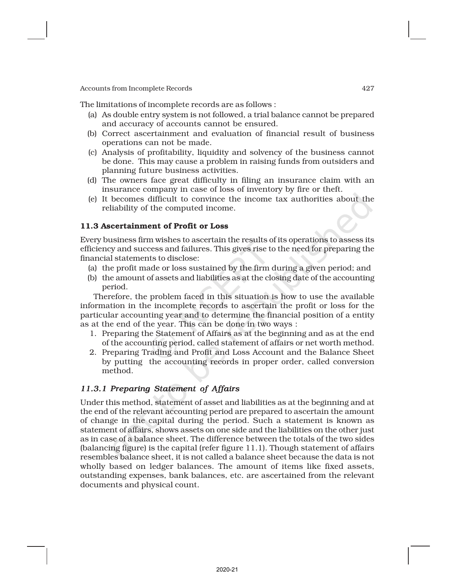The limitations of incomplete records are as follows :

- (a) As double entry system is not followed, a trial balance cannot be prepared and accuracy of accounts cannot be ensured.
- (b) Correct ascertainment and evaluation of financial result of business operations can not be made.
- (c) Analysis of profitability, liquidity and solvency of the business cannot be done. This may cause a problem in raising funds from outsiders and planning future business activities.
- (d) The owners face great difficulty in filing an insurance claim with an insurance company in case of loss of inventory by fire or theft.
- (e) It becomes difficult to convince the income tax authorities about the reliability of the computed income.

## 11.3 Ascertainment of Profit or Loss

Every business firm wishes to ascertain the results of its operations to assess its efficiency and success and failures. This gives rise to the need for preparing the financial statements to disclose:

- (a) the profit made or loss sustained by the firm during a given period; and
- (b) the amount of assets and liabilities as at the closing date of the accounting period.

Therefore, the problem faced in this situation is how to use the available information in the incomplete records to ascertain the profit or loss for the particular accounting year and to determine the financial position of a entity as at the end of the year. This can be done in two ways :

- 1. Preparing the Statement of Affairs as at the beginning and as at the end of the accounting period, called statement of affairs or net worth method.
- 2. Preparing Trading and Profit and Loss Account and the Balance Sheet by putting the accounting records in proper order, called conversion method.

## *11.3.1 Preparing Statement of Affairs*

Under this method, statement of asset and liabilities as at the beginning and at the end of the relevant accounting period are prepared to ascertain the amount of change in the capital during the period. Such a statement is known as statement of affairs, shows assets on one side and the liabilities on the other just as in case of a balance sheet. The difference between the totals of the two sides (balancing figure) is the capital (refer figure 11.1). Though statement of affairs resembles balance sheet, it is not called a balance sheet because the data is not wholly based on ledger balances. The amount of items like fixed assets, outstanding expenses, bank balances, etc. are ascertained from the relevant documents and physical count.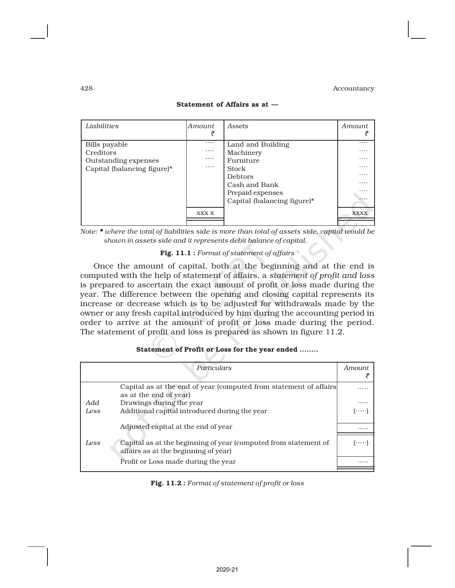| Liabilities                 | Amount | <b>Assets</b>               | Amount      |
|-----------------------------|--------|-----------------------------|-------------|
| Bills payable               |        | Land and Building           |             |
| Creditors                   |        | Machinery                   |             |
| Outstanding expenses        |        | Furniture                   |             |
| Capital (balancing figure)* |        | <b>Stock</b>                |             |
|                             |        | Debtors                     |             |
|                             |        | Cash and Bank               |             |
|                             |        | Prepaid expenses            | .           |
|                             |        | Capital (balancing figure)* | .           |
|                             | XXX X  |                             | <b>XXXX</b> |
|                             |        |                             |             |

### Statement of Affairs as at ––

*Note: \* where the total of liabilities side is more than total of assets side, capital would be shown in assets side and it represents debit balance of capital*.

## Fig. 11.1 : *Format of statement of affairs*

Once the amount of capital, both at the beginning and at the end is computed with the help of statement of affairs, a *statement of profit and loss* is prepared to ascertain the exact amount of profit or loss made during the year. The difference between the opening and closing capital represents its increase or decrease which is to be adjusted for withdrawals made by the owner or any fresh capital introduced by him during the accounting period in order to arrive at the amount of profit or loss made during the period. The statement of profit and loss is prepared as shown in figure 11.2.

### Statement of Profit or Loss for the year ended ........

|      | Particulars                                                                                                              | <i>Amount</i>  |
|------|--------------------------------------------------------------------------------------------------------------------------|----------------|
| Add. | Capital as at the end of year (computed from statement of affairs)<br>as at the end of year)<br>Drawings during the year | .              |
|      |                                                                                                                          |                |
| Less | Additional capital introduced during the year                                                                            | $\cdots\cdots$ |
|      | Adjusted capital at the end of year                                                                                      | .              |
| Less | Capital as at the beginning of year (computed from statement of<br>affairs as at the beginning of year)                  |                |
|      | Profit or Loss made during the year                                                                                      | .              |
|      |                                                                                                                          |                |

#### Fig. 11.2 : *Format of statement of profit or loss*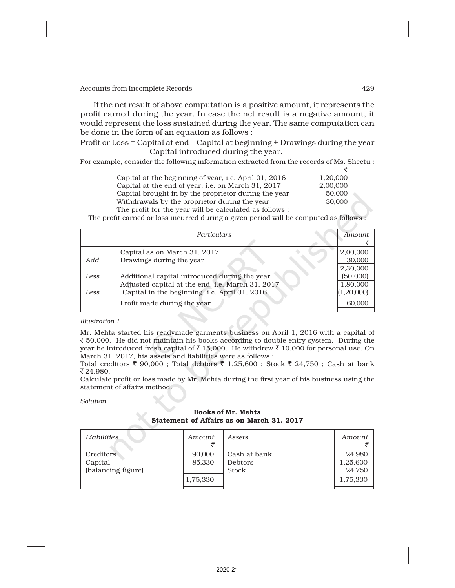If the net result of above computation is a positive amount, it represents the profit earned during the year. In case the net result is a negative amount, it would represent the loss sustained during the year. The same computation can be done in the form of an equation as follows :

Profit or Loss = Capital at end – Capital at beginning + Drawings during the year – Capital introduced during the year.

For example, consider the following information extracted from the records of Ms. Sheetu :

| Capital at the beginning of year, <i>i.e.</i> April 01, 2016 | 1.20.000 |
|--------------------------------------------------------------|----------|
| Capital at the end of year, <i>i.e.</i> on March 31, 2017    | 2.00.000 |
| Capital brought in by the proprietor during the year         | 50,000   |
| Withdrawals by the proprietor during the year                | 30,000   |
| The profit for the year will be calculated as follows :      |          |

The profit earned or loss incurred during a given period will be computed as follows :

|      | Particulars                                      | Amount    |
|------|--------------------------------------------------|-----------|
|      | Capital as on March 31, 2017                     | 2,00,000  |
| Add  | Drawings during the year                         | 30,000    |
|      |                                                  | 2,30,000  |
| Less | Additional capital introduced during the year    | (50,000)  |
|      | Adjusted capital at the end, i.e. March 31, 2017 | 1,80,000  |
| Less | Capital in the beginning, i.e. April 01, 2016    | 1,20,000) |
|      | Profit made during the year                      | 60,000    |

#### *Illustration 1*

Mr. Mehta started his readymade garments business on April 1, 2016 with a capital of  $\bar{\xi}$  50,000. He did not maintain his books according to double entry system. During the year he introduced fresh capital of  $\bar{\zeta}$  15,000. He withdrew  $\bar{\zeta}$  10,000 for personal use. On March 31, 2017, his assets and liabilities were as follows :

Total creditors  $\bar{\tau}$  90,000 ; Total debtors  $\bar{\tau}$  1,25,600 ; Stock  $\bar{\tau}$  24,750 ; Cash at bank ₹ 24,980.

Calculate profit or loss made by Mr. Mehta during the first year of his business using the statement of affairs method.

*Solution*

### Books of Mr. Mehta Statement of Affairs as on March 31, 2017

| Liabilities        | Amount   | Assets       | Amount   |
|--------------------|----------|--------------|----------|
| Creditors          | 90,000   | Cash at bank | 24,980   |
| Capital            | 85,330   | Debtors      | 1,25,600 |
| (balancing figure) |          | <b>Stock</b> | 24,750   |
|                    | 1,75,330 |              | 1,75,330 |
|                    |          |              |          |

₹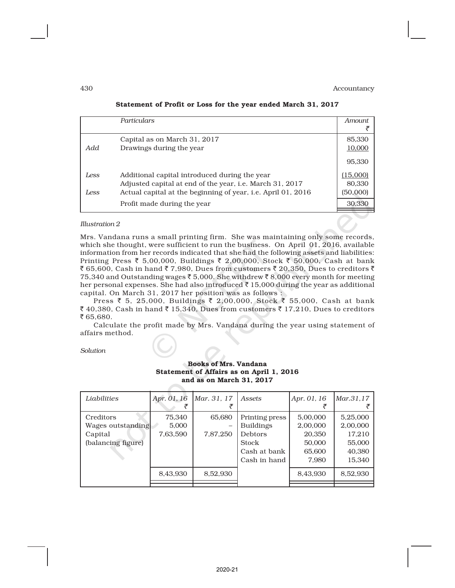430 Accountancy

| Statement of Profit or Loss for the year ended March 31, 2017 |  |  |  |  |  |  |  |
|---------------------------------------------------------------|--|--|--|--|--|--|--|
|---------------------------------------------------------------|--|--|--|--|--|--|--|

|      | Particulars                                                                                               | <i>Amount</i>      |
|------|-----------------------------------------------------------------------------------------------------------|--------------------|
| Add. | Capital as on March 31, 2017<br>Drawings during the year                                                  | 85,330<br>10,000   |
|      |                                                                                                           | 95,330             |
| Less | Additional capital introduced during the year<br>Adjusted capital at end of the year, i.e. March 31, 2017 | (15,000)<br>80,330 |
| Less | Actual capital at the beginning of year, i.e. April 01, 2016                                              | (50,000)           |
|      | Profit made during the year                                                                               | 30,330             |

#### *Illustration 2*

Mrs. Vandana runs a small printing firm. She was maintaining only some records, which she thought, were sufficient to run the business. On April 01, 2016, available information from her records indicated that she had the following assets and liabilities: Printing Press  $\bar{\tau}$  5,00,000, Buildings  $\bar{\tau}$  2,00,000, Stock  $\bar{\tau}$  50,000, Cash at bank ₹ 65,600, Cash in hand ₹ 7,980, Dues from customers ₹ 20,350, Dues to creditors ₹ 75,340 and Outstanding wages  $\bar{\tau}$  5,000. She withdrew  $\bar{\tau}$  8,000 every month for meeting her personal expenses. She had also introduced  $\bar{\bar{\tau}}$  15,000 during the year as additional capital. On March 31, 2017 her position was as follows :

Press ₹ 5, 25,000, Buildings ₹ 2,00,000, Stock ₹ 55,000, Cash at bank ₹ 40,380, Cash in hand ₹ 15,340, Dues from customers ₹ 17,210, Dues to creditors ₹ 65,680.

Calculate the profit made by Mrs. Vandana during the year using statement of affairs method.

*Solution*

#### Books of Mrs. Vandana Statement of Affairs as on April 1, 2016 and as on March 31, 2017

| Liabilities                                                     | Apr. 01, 16                 | Mar. 31, 17        | <b>Assets</b>                                                                                 | Apr. 01, 16                                                 | Mar.31.17                                                    |
|-----------------------------------------------------------------|-----------------------------|--------------------|-----------------------------------------------------------------------------------------------|-------------------------------------------------------------|--------------------------------------------------------------|
| Creditors<br>Wages outstanding<br>Capital<br>(balancing figure) | 75.340<br>5,000<br>7,63,590 | 65,680<br>7,87,250 | Printing press<br>Buildings<br><b>Debtors</b><br><b>Stock</b><br>Cash at bank<br>Cash in hand | 5,00,000<br>2,00,000<br>20,350<br>50,000<br>65,600<br>7,980 | 5.25,000<br>2,00,000<br>17,210<br>55,000<br>40,380<br>15,340 |
|                                                                 | 8,43,930                    | 8,52,930           |                                                                                               | 8,43,930                                                    | 8,52,930                                                     |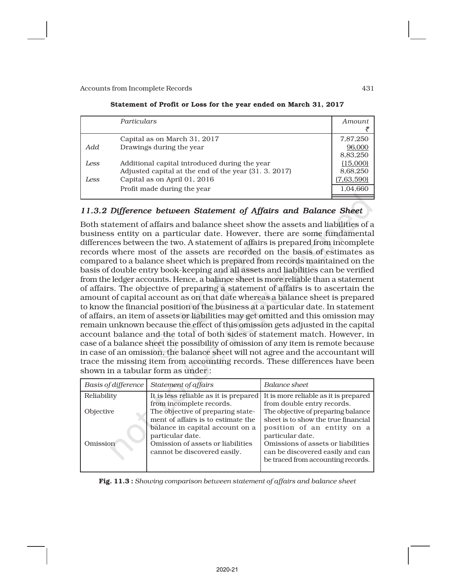|      | Particulars                                           | Amount     |
|------|-------------------------------------------------------|------------|
|      |                                                       |            |
|      | Capital as on March 31, 2017                          | 7,87,250   |
| Add  | Drawings during the year                              | 96,000     |
|      |                                                       | 8,83,250   |
| Less | Additional capital introduced during the year         | (15,000)   |
|      | Adjusted capital at the end of the year (31. 3. 2017) | 8,68,250   |
| Less | Capital as on April 01, 2016                          | (7,63,590) |
|      | Profit made during the year                           | 1,04,660   |
|      |                                                       |            |

Statement of Profit or Loss for the year ended on March 31, 2017

## *11.3.2 Difference between Statement of Affairs and Balance Sheet*

Both statement of affairs and balance sheet show the assets and liabilities of a business entity on a particular date. However, there are some fundamental differences between the two. A statement of affairs is prepared from incomplete records where most of the assets are recorded on the basis of estimates as compared to a balance sheet which is prepared from records maintained on the basis of double entry book-keeping and all assets and liabilities can be verified from the ledger accounts. Hence, a balance sheet is more reliable than a statement of affairs. The objective of preparing a statement of affairs is to ascertain the amount of capital account as on that date whereas a balance sheet is prepared to know the financial position of the business at a particular date. In statement of affairs, an item of assets or liabilities may get omitted and this omission may remain unknown because the effect of this omission gets adjusted in the capital account balance and the total of both sides of statement match. However, in case of a balance sheet the possibility of omission of any item is remote because in case of an omission, the balance sheet will not agree and the accountant will trace the missing item from accounting records. These differences have been shown in a tabular form as under :

| Basis of difference | Statement of affairs                  | Balance sheet                         |  |  |  |
|---------------------|---------------------------------------|---------------------------------------|--|--|--|
| Reliability         | It is less reliable as it is prepared | It is more reliable as it is prepared |  |  |  |
|                     | from incomplete records.              | from double entry records.            |  |  |  |
| Objective           | The objective of preparing state-     | The objective of preparing balance    |  |  |  |
|                     | ment of affairs is to estimate the    | sheet is to show the true financial   |  |  |  |
|                     | balance in capital account on a       | position of an entity on a            |  |  |  |
|                     | particular date.                      | particular date.                      |  |  |  |
| <b>Omission</b>     | Omission of assets or liabilities     | Omissions of assets or liabilities    |  |  |  |
|                     | cannot be discovered easily.          | can be discovered easily and can      |  |  |  |
|                     |                                       | be traced from accounting records.    |  |  |  |
|                     |                                       |                                       |  |  |  |

Fig. 11.3 : *Showing comparison between statement of affairs and balance sheet*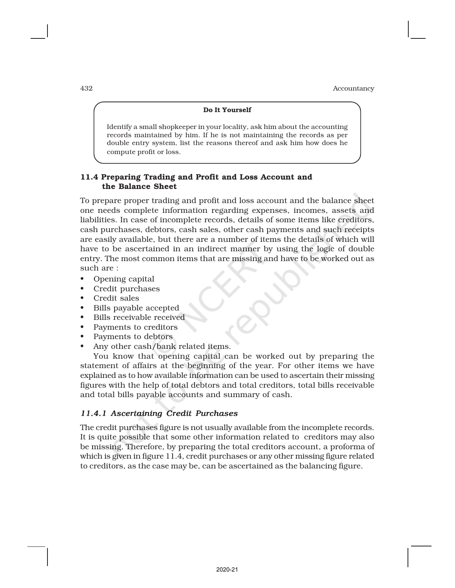432 Accountancy

#### Do It Yourself

Identify a small shopkeeper in your locality, ask him about the accounting records maintained by him. If he is not maintaining the records as per double entry system, list the reasons thereof and ask him how does he compute profit or loss.

## 11.4 Preparing Trading and Profit and Loss Account and the Balance Sheet

To prepare proper trading and profit and loss account and the balance sheet one needs complete information regarding expenses, incomes, assets and liabilities. In case of incomplete records, details of some items like creditors, cash purchases, debtors, cash sales, other cash payments and such receipts are easily available, but there are a number of items the details of which will have to be ascertained in an indirect manner by using the logic of double entry. The most common items that are missing and have to be worked out as such are :

- Opening capital
- Credit purchases
- Credit sales
- Bills payable accepted
- Bills receivable received
- Payments to creditors
- Payments to debtors
- Any other cash/bank related items.

You know that opening capital can be worked out by preparing the statement of affairs at the beginning of the year. For other items we have explained as to how available information can be used to ascertain their missing figures with the help of total debtors and total creditors, total bills receivable and total bills payable accounts and summary of cash.

## *11.4.1 Ascertaining Credit Purchases*

The credit purchases figure is not usually available from the incomplete records. It is quite possible that some other information related to creditors may also be missing. Therefore, by preparing the total creditors account, a proforma of which is given in figure 11.4, credit purchases or any other missing figure related to creditors, as the case may be, can be ascertained as the balancing figure.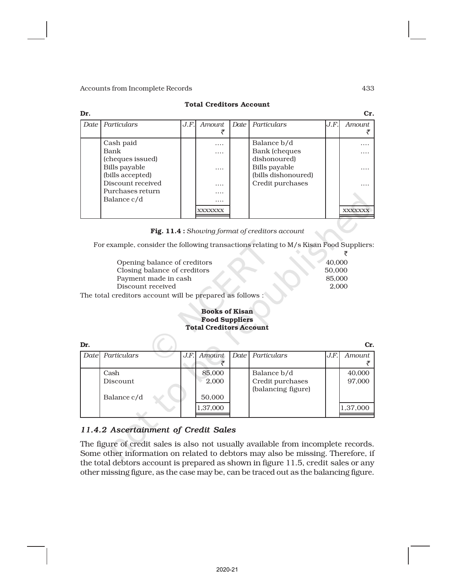## Total Creditors Account

| Dr.  |                   |      |         |                     |      | Cr.     |
|------|-------------------|------|---------|---------------------|------|---------|
| Date | Particulars       | J.F. | Amount. | Date   Particulars  | J.F. | Amount. |
|      |                   |      |         |                     |      |         |
|      | Cash paid         |      |         | Balance b/d         |      | .       |
|      | Bank              |      |         | Bank (cheques       |      | .       |
|      | (cheques issued)  |      |         | dishonoured)        |      |         |
|      | Bills payable     |      | .       | Bills payable       |      | .       |
|      | (bills accepted)  |      |         | (bills dishonoured) |      |         |
|      | Discount received |      |         | Credit purchases    |      | .       |
|      | Purchases return  |      |         |                     |      |         |
|      | Balance c/d       |      |         |                     |      |         |
|      |                   |      | xxxxxxx |                     |      | XXXXXXX |
|      |                   |      |         |                     |      |         |

Fig. 11.4 : *Showing format of creditors account*

For example, consider the following transactions relating to M/s Kisan Food Suppliers:

| Opening balance of creditors      | 40,000 |
|-----------------------------------|--------|
| Closing balance of creditors      | 50,000 |
| Payment made in cash              | 85,000 |
| Discount received                 | 2.000  |
| $1 \t 1 \t 1$<br>$\sim$ $\sim$ 11 |        |

The total creditors account will be prepared as follows :

#### Books of Kisan Food Suppliers Total Creditors Account

| Dr. |                   |      |             |                    |      | Cr.      |
|-----|-------------------|------|-------------|--------------------|------|----------|
|     | Datel Particulars | J.F. | Amount<br>∓ | Date   Particulars | J.F. | Amount.  |
|     |                   |      |             |                    |      |          |
|     | Cash              |      | 85,000      | Balance b/d        |      | 40,000   |
|     | Discount.         |      | 2,000       | Credit purchases   |      | 97,000   |
|     |                   |      |             | (balancing figure) |      |          |
|     | Balance c/d       |      | 50,000      |                    |      |          |
|     |                   |      | 1,37,000    |                    |      | 1,37,000 |
|     |                   |      |             |                    |      |          |

## *11.4.2 Ascertainment of Credit Sales*

The figure of credit sales is also not usually available from incomplete records. Some other information on related to debtors may also be missing. Therefore, if the total debtors account is prepared as shown in figure 11.5, credit sales or any other missing figure, as the case may be, can be traced out as the balancing figure.

 $\overline{z}$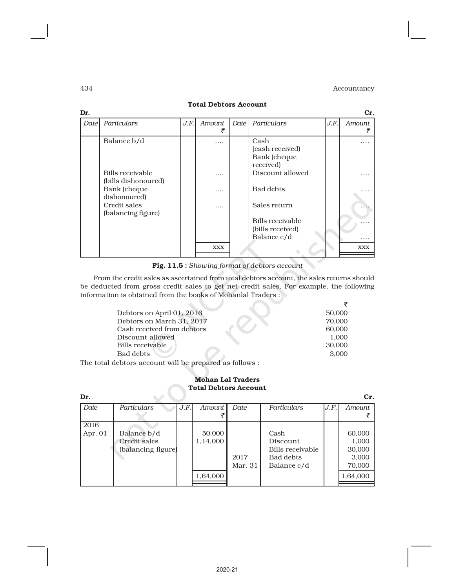| Dr.  |                                         |      |                    |      |                                                      |      | Cr.        |
|------|-----------------------------------------|------|--------------------|------|------------------------------------------------------|------|------------|
| Date | Particulars                             | J.F. | <i>Amount</i><br>₹ | Date | Particulars                                          | J.F. | Amount     |
|      | Balance b/d                             |      | $\cdots$           |      | Cash<br>(cash received)<br>Bank (cheque<br>received) |      | .          |
|      | Bills receivable<br>(bills dishonoured) |      | .                  |      | Discount allowed                                     |      | .          |
|      | Bank (cheque<br>dishonoured)            |      |                    |      | Bad debts                                            |      | .          |
|      | Credit sales<br>(balancing figure)      |      | .                  |      | Sales return                                         |      |            |
|      |                                         |      |                    |      | Bills receivable<br>(bills received)<br>Balance c/d  |      |            |
|      |                                         |      | <b>XXX</b>         |      |                                                      |      | <b>XXX</b> |
|      |                                         |      |                    |      |                                                      |      |            |

### Total Debtors Account

## Fig. 11.5 : *Showing format of debtors account*

From the credit sales as ascertained from total debtors account, the sales returns should be deducted from gross credit sales to get net credit sales. For example, the following information is obtained from the books of Mohanlal Traders :

| Debtors on April 01, 2016  | 50,000 |
|----------------------------|--------|
| Debtors on March 31, 2017  | 70,000 |
| Cash received from debtors | 60,000 |
| Discount allowed           | 1.000  |
| Bills receivable           | 30,000 |
| Bad debts                  | 3.000  |

The total debtors account will be prepared as follows :

## Mohan Lal Traders Total Debtors Account

| Dr.               |                                                   |      |                                |                 |                                                                   |      | Cr.                                                      |
|-------------------|---------------------------------------------------|------|--------------------------------|-----------------|-------------------------------------------------------------------|------|----------------------------------------------------------|
| Date              | Particulars                                       | J.F. | Amount                         | Date            | Particulars                                                       | J.F. | Amount                                                   |
| 2016<br>Apr. $01$ | Balance b/d<br>Credit sales<br>(balancing figure) |      | 50,000<br>1,14,000<br>1,64,000 | 2017<br>Mar. 31 | Cash<br>Discount.<br>Bills receivable<br>Bad debts<br>Balance c/d |      | 60,000<br>1,000<br>30,000<br>3,000<br>70,000<br>1,64,000 |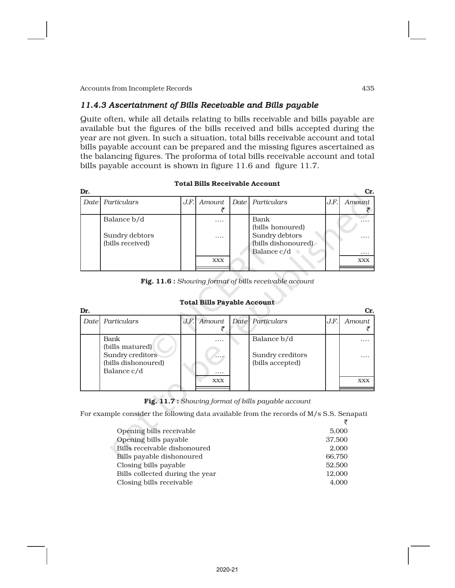## *11.4.3 Ascertainment of Bills Receivable and Bills payable*

Quite often, while all details relating to bills receivable and bills payable are available but the figures of the bills received and bills accepted during the year are not given. In such a situation, total bills receivable account and total bills payable account can be prepared and the missing figures ascertained as the balancing figures. The proforma of total bills receivable account and total bills payable account is shown in figure 11.6 and figure 11.7.

## Total Bills Receivable Account

| Dr. |                                                   |                      |                                                                                  |      | Cr.                       |
|-----|---------------------------------------------------|----------------------|----------------------------------------------------------------------------------|------|---------------------------|
|     | Date Particulars                                  | J.F.I Amount         | Date   Particulars                                                               | J.F. | Amount                    |
|     | Balance b/d<br>Sundry debtors<br>(bills received) | $\cdots$<br>$\cdots$ | Bank<br>(bills honoured)<br>Sundry debtors<br>(bills dishonoured)<br>Balance c/d |      | .<br>$\cdots$<br>$\cdots$ |
|     |                                                   | <b>XXX</b>           |                                                                                  |      | <b>XXX</b>                |

## Fig. 11.6 : *Showing format of bills receivable account*

|  |  |  | <b>Total Bills Payable Account</b> |
|--|--|--|------------------------------------|
|--|--|--|------------------------------------|

| Dr. |                                                                                   |            |                                                     |      | Cr.    |
|-----|-----------------------------------------------------------------------------------|------------|-----------------------------------------------------|------|--------|
|     | Datel Particulars                                                                 |            | J.F. Amount Date Particulars                        | J.F. | Amount |
|     | Bank<br>(bills matured)<br>Sundry creditors<br>(bills dishonoured)<br>Balance c/d | <br><br>   | Balance b/d<br>Sundry creditors<br>(bills accepted) |      | <br>   |
|     |                                                                                   | <b>XXX</b> |                                                     |      | XXX    |

## Fig. 11.7 : *Showing format of bills payable account*

For example consider the following data available from the records of M/s S.S. Senapati

| Opening bills receivable        | 5,000  |
|---------------------------------|--------|
| Opening bills payable           | 37,500 |
| Bills receivable dishonoured    | 2.000  |
| Bills payable dishonoured       | 66.750 |
| Closing bills payable           | 52,500 |
| Bills collected during the year | 12.000 |
| Closing bills receivable        | 4.000  |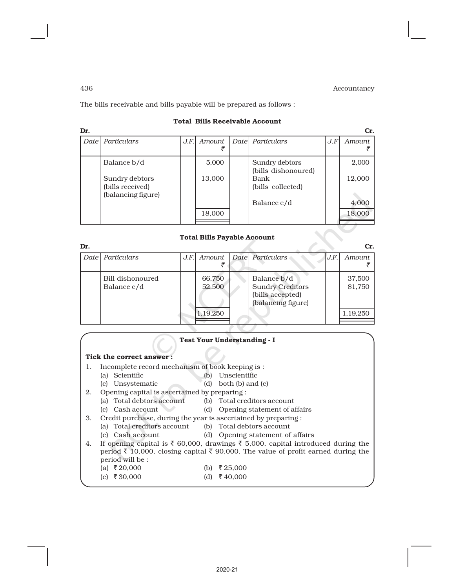The bills receivable and bills payable will be prepared as follows :

## Total Bills Receivable Account

| Dr. |                                                          |      |               |                                       |     | Cr.    |
|-----|----------------------------------------------------------|------|---------------|---------------------------------------|-----|--------|
|     | Datel Particulars                                        | J.F. | <i>Amount</i> | Datel Particulars                     | J.F | Amount |
|     | Balance b/d                                              |      | 5,000         | Sundry debtors<br>(bills dishonoured) |     | 2,000  |
|     | Sundry debtors<br>(bills received)<br>(balancing figure) |      | 13,000        | Bank<br>(bills collected)             |     | 12,000 |
|     |                                                          |      |               | Balance c/d                           |     | 4,000  |
|     |                                                          |      | 18,000        |                                       |     | 18,000 |

## Total Bills Payable Account

| Dr. |                                 |                  |                                                                                  |      | Cr.              |
|-----|---------------------------------|------------------|----------------------------------------------------------------------------------|------|------------------|
|     | Date Particulars                | J.F. Amount      | Datel Particulars                                                                | J.F. | Amount           |
|     | Bill dishonoured<br>Balance c/d | 66,750<br>52,500 | Balance b/d<br><b>Sundry Creditors</b><br>(bills accepted)<br>(balancing figure) |      | 37,500<br>81,750 |
|     |                                 | 1,19,250         |                                                                                  |      | 1,19,250         |
|     |                                 |                  |                                                                                  |      |                  |

|    |                                                       |     | Test Your Understanding - I                                                                           |
|----|-------------------------------------------------------|-----|-------------------------------------------------------------------------------------------------------|
|    | Tick the correct answer:                              |     |                                                                                                       |
| 1. | Incomplete record mechanism of book keeping is:       |     |                                                                                                       |
|    | (a) Scientific                                        |     | (b) Unscientific                                                                                      |
|    | (c) Unsystematic                                      | (d) | both (b) and (c)                                                                                      |
| 2. | Opening capital is ascertained by preparing :         |     |                                                                                                       |
|    | (a) Total debtors account                             |     | (b) Total creditors account                                                                           |
|    | (c) Cash account                                      |     | (d) Opening statement of affairs                                                                      |
| 3. |                                                       |     | Credit purchase, during the year is ascertained by preparing :                                        |
|    | (a) Total creditors account (b) Total debtors account |     |                                                                                                       |
|    | (c) Cash account                                      |     | (d) Opening statement of affairs                                                                      |
| 4. |                                                       |     | If opening capital is $\bar{\tau}$ 60,000, drawings $\bar{\tau}$ 5,000, capital introduced during the |
|    |                                                       |     | period ₹ 10,000, closing capital ₹ 90,000. The value of profit earned during the                      |
|    | period will be:                                       |     |                                                                                                       |
|    | (a) ₹20,000                                           | (b) | ₹25,000                                                                                               |
|    | (c) ₹30.000                                           | (d) | ₹40.000                                                                                               |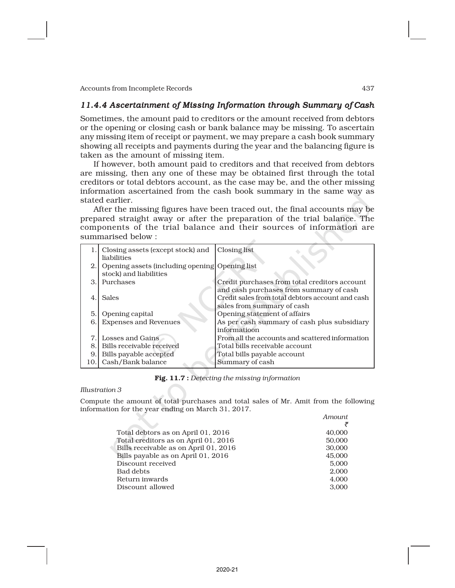### *11.4.4 Ascertainment of Missing Information through Summary of Cash*

Sometimes, the amount paid to creditors or the amount received from debtors or the opening or closing cash or bank balance may be missing. To ascertain any missing item of receipt or payment, we may prepare a cash book summary showing all receipts and payments during the year and the balancing figure is taken as the amount of missing item.

If however, both amount paid to creditors and that received from debtors are missing, then any one of these may be obtained first through the total creditors or total debtors account, as the case may be, and the other missing information ascertained from the cash book summary in the same way as stated earlier.

After the missing figures have been traced out, the final accounts may be prepared straight away or after the preparation of the trial balance. The components of the trial balance and their sources of information are summarised below :

|                | 1. Closing assets (except stock) and           | Closing list                                     |
|----------------|------------------------------------------------|--------------------------------------------------|
|                | liabilities                                    |                                                  |
| 2.1            | Opening assets (including opening Opening list |                                                  |
|                | stock) and liabilities                         |                                                  |
| 3.             | Purchases                                      | Credit purchases from total creditors account    |
|                |                                                | and cash purchases from summary of cash          |
| $\overline{4}$ | <b>Sales</b>                                   | Credit sales from total debtors account and cash |
|                |                                                | sales from summary of cash                       |
| 5.             | Opening capital                                | Opening statement of affairs                     |
| 6.             | <b>Expenses and Revenues</b>                   | As per cash summary of cash plus subsidiary      |
|                |                                                | informatioon                                     |
| 7.             | Losses and Gains                               | From all the accounts and scattered information  |
| 8.             | Bills receivable received                      | Total bills receivable account                   |
| 9              | Bills payable accepted                         | Total bills payable account                      |
| 10.I           | Cash/Bank balance                              | Summary of cash                                  |

Fig. 11.7 : *Detecting the missing information*

#### *Illustration 3*

Compute the amount of total purchases and total sales of Mr. Amit from the following information for the year ending on March 31, 2017. *Amount*

| Anwuri |
|--------|
|        |
| 40,000 |
| 50,000 |
| 30,000 |
| 45,000 |
| 5,000  |
| 2,000  |
| 4,000  |
| 3,000  |
|        |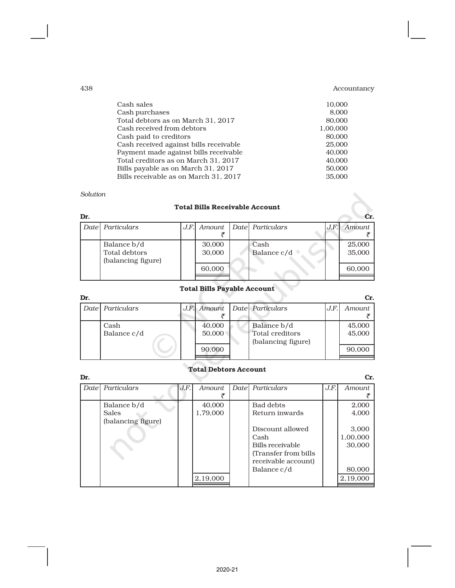438 Accountancy

| Cash sales                             | 10,000   |
|----------------------------------------|----------|
| Cash purchases                         | 8.000    |
| Total debtors as on March 31, 2017     | 80,000   |
| Cash received from debtors             | 1,00,000 |
| Cash paid to creditors                 | 80,000   |
| Cash received against bills receivable | 25,000   |
| Payment made against bills receivable  | 40,000   |
| Total creditors as on March 31, 2017   | 40,000   |
| Bills payable as on March 31, 2017     | 50,000   |
| Bills receivable as on March 31, 2017  | 35,000   |

### *Solution*

|     | <b>Total Bills Receivable Account</b>              |      |                  |  |                     |      |                  |  |  |
|-----|----------------------------------------------------|------|------------------|--|---------------------|------|------------------|--|--|
| Dr. |                                                    |      |                  |  |                     |      | Cr.              |  |  |
|     | Datel Particulars                                  | J.F. | Amount           |  | Datel Particulars   | J.F. | Amount           |  |  |
|     | Balance b/d<br>Total debtors<br>(balancing figure) |      | 30,000<br>30,000 |  | Cash<br>Balance c/d |      | 25,000<br>35,000 |  |  |
|     |                                                    |      | 60,000           |  |                     |      | 60,000           |  |  |

# Total Bills Payable Account

| Dr. |                  |              |                        |      | Cr.    |
|-----|------------------|--------------|------------------------|------|--------|
|     | Date Particulars | J.F.I Amount | Date Particulars       | J.F. | Amount |
|     |                  |              |                        |      |        |
|     | Cash             | 40,000       | Balance b/d            |      | 45,000 |
|     | Balance c/d      | 50,000       | <b>Total creditors</b> |      | 45,000 |
|     |                  |              | (balancing figure)     |      |        |
|     |                  | 90,000       |                        |      | 90,000 |
|     |                  |              |                        |      |        |

## Total Debtors Account

| Dr. |                    |      |               |                       |      | Cr.           |
|-----|--------------------|------|---------------|-----------------------|------|---------------|
|     | Date Particulars   | J.F. | <i>Amount</i> | Datel Particulars     | J.F. | <i>Amount</i> |
|     |                    |      |               |                       |      |               |
|     | Balance b/d        |      | 40,000        | Bad debts             |      | 2,000         |
|     | <b>Sales</b>       |      | 1,79,000      | Return inwards        |      | 4,000         |
|     | (balancing figure) |      |               |                       |      |               |
|     |                    |      |               | Discount allowed      |      | 3,000         |
|     |                    |      |               | Cash                  |      | 1,00,000      |
|     |                    |      |               | Bills receivable      |      | 30,000        |
|     |                    |      |               | (Transfer from bills) |      |               |
|     |                    |      |               | receivable account)   |      |               |
|     |                    |      |               | Balance c/d           |      | 80,000        |
|     |                    |      | 2,19,000      |                       |      | 2,19,000      |
|     |                    |      |               |                       |      |               |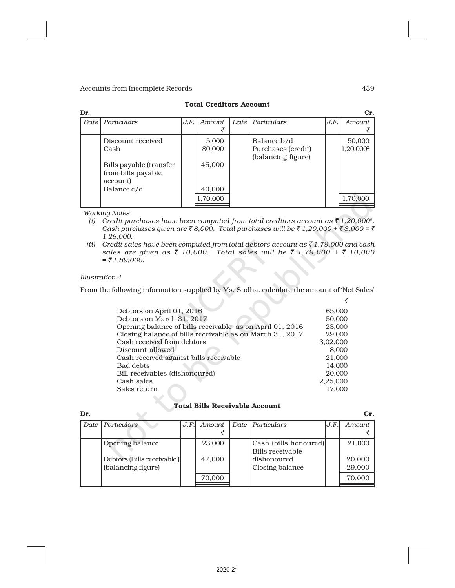| Dr. |                                                           |      |          |                                          |      | Cr.                   |
|-----|-----------------------------------------------------------|------|----------|------------------------------------------|------|-----------------------|
|     | Date   Particulars                                        | J.F. | Amount   | Date   Particulars                       | J.F. | Amount                |
|     |                                                           |      |          |                                          |      |                       |
|     | Discount received                                         |      | 5,000    | Balance b/d                              |      | 50,000                |
|     | Cash                                                      |      | 80,000   | Purchases (credit)<br>(balancing figure) |      | 1,20,000 <sup>2</sup> |
|     | Bills payable (transfer<br>from bills payable<br>account) |      | 45,000   |                                          |      |                       |
|     | Balance c/d                                               |      | 40,000   |                                          |      |                       |
|     |                                                           |      | 1,70,000 |                                          |      | 1,70,000              |

## Total Creditors Account

*Working Notes*

(i) Credit purchases have been computed from total creditors account as  $\bar{\mathfrak{e}}$  1,20,000<sup>2</sup>. *Cash purchases given are*  $\bar{\xi}$  8,000. Total purchases will be  $\bar{\xi}$  1,20,000 +  $\bar{\xi}$  8,000 =  $\bar{\xi}$ *1,28,000.*

*(ii) Credit sales have been computed from total debtors account as* ` *1,79,000 and cash sales are given as*  $\bar{\zeta}$  10,000. Total sales will be  $\bar{\zeta}$  1,79,000 +  $\bar{\zeta}$  10,000  $=$   $\overline{5}$  1,89,000.

#### *Illustration 4*

From the following information supplied by Ms. Sudha, calculate the amount of 'Net Sales'  $\mathbb{R}^2$ 

| Debtors on April 01, 2016                                | 65,000   |
|----------------------------------------------------------|----------|
| Debtors on March 31, 2017                                | 50,000   |
| Opening balance of bills receivable as on April 01, 2016 | 23,000   |
| Closing balance of bills receivable as on March 31, 2017 | 29,000   |
| Cash received from debtors                               | 3,02,000 |
| Discount allowed                                         | 8,000    |
| Cash received against bills receivable                   | 21,000   |
| Bad debts                                                | 14.000   |
| Bill receivables (dishonoured)                           | 20,000   |
| Cash sales                                               | 2,25,000 |
| Sales return                                             | 17.000   |
|                                                          |          |

#### Total Bills Receivable Account

| Dr. |                            |      |        |  |                       |       | Cr.     |
|-----|----------------------------|------|--------|--|-----------------------|-------|---------|
|     | Date   Particulars         | J.F. | Amount |  | Date Particulars      | IJ.F. | Amount. |
|     |                            |      |        |  |                       |       |         |
|     | Opening balance            |      | 23,000 |  | Cash (bills honoured) |       | 21,000  |
|     |                            |      |        |  | Bills receivable      |       |         |
|     | Debtors (Bills receivable) |      | 47,000 |  | dishonoured           |       | 20,000  |
|     | (balancing figure)         |      |        |  | Closing balance       |       | 29,000  |
|     |                            |      | 70,000 |  |                       |       | 70,000  |
|     |                            |      |        |  |                       |       |         |

 $\overline{z}$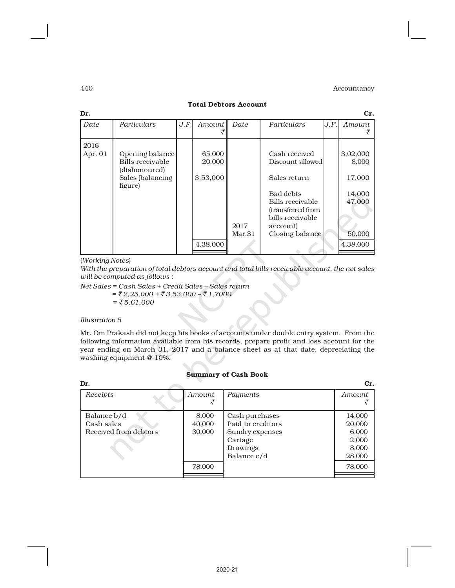| Dr.             |                                                                                            |      |                                          |                |                                                                                                                                                            |      | Cr.                                                                   |
|-----------------|--------------------------------------------------------------------------------------------|------|------------------------------------------|----------------|------------------------------------------------------------------------------------------------------------------------------------------------------------|------|-----------------------------------------------------------------------|
| Date            | Particulars                                                                                | J.F. | Amount<br>₹                              | Date           | Particulars                                                                                                                                                | J.F. | Amount                                                                |
| 2016<br>Apr. 01 | Opening balance<br><b>Bills receivable</b><br>(dishonoured)<br>Sales (balancing<br>figure) |      | 65,000<br>20,000<br>3,53,000<br>4,38,000 | 2017<br>Mar.31 | Cash received<br>Discount allowed<br>Sales return<br>Bad debts<br>Bills receivable<br>(transferred from<br>bills receivable<br>account)<br>Closing balance |      | 3,02,000<br>8,000<br>17,000<br>14,000<br>47,000<br>50,000<br>4,38,000 |

### Total Debtors Account

(*Working Notes*)

*With the preparation of total debtors account and total bills receivable account, the net sales will be computed as follows :*

*Net Sales = Cash Sales + Credit Sales – Sales return*  $=$   $\bar{\xi}$  2,25,000 +  $\bar{\xi}$  3,53,000 –  $\bar{\xi}$  1,7000  $=$   $\bar{z}$  5,61,000

#### *Illustration 5*

Mr. Om Prakash did not keep his books of accounts under double entry system. From the following information available from his records, prepare profit and loss account for the year ending on March 31, 2017 and a balance sheet as at that date, depreciating the washing equipment @ 10%.

#### Summary of Cash Book

| Dr.                   |        |                   | Cr.    |
|-----------------------|--------|-------------------|--------|
| Receipts              | Amount | Payments          | Amount |
|                       |        |                   |        |
| Balance b/d           | 8,000  | Cash purchases    | 14,000 |
| Cash sales            | 40,000 | Paid to creditors | 20,000 |
| Received from debtors | 30,000 | Sundry expenses   | 6,000  |
|                       |        | Cartage           | 2,000  |
|                       |        | Drawings          | 8,000  |
|                       |        | Balance c/d       | 28,000 |
|                       | 78,000 |                   | 78,000 |
|                       |        |                   |        |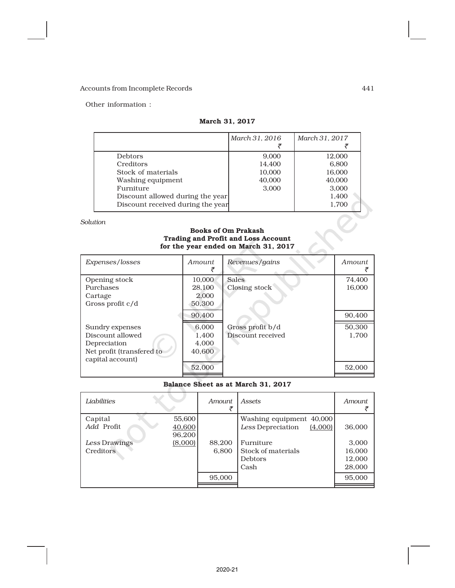Other information :

### March 31, 2017

|                                   | March 31, 2016 | March 31, 2017 |
|-----------------------------------|----------------|----------------|
| <b>Debtors</b>                    | 9,000          | 12,000         |
| Creditors                         | 14.400         | 6,800          |
| Stock of materials                | 10.000         | 16,000         |
| Washing equipment                 | 40,000         | 40,000         |
| <b>Furniture</b>                  | 3.000          | 3,000          |
| Discount allowed during the year  |                | 1,400          |
| Discount received during the year |                | 1,700          |

*Solution*

## Books of Om Prakash Trading and Profit and Loss Account for the year ended on March 31, 2017

| Expenses/losses           | Amount | Revenues/gains    | <i>Amount</i> |
|---------------------------|--------|-------------------|---------------|
| Opening stock             | 10.000 | <b>Sales</b>      | 74.400        |
| Purchases                 | 28.100 | Closing stock     | 16,000        |
| Cartage                   | 2.000  |                   |               |
| Gross profit c/d          | 50,300 |                   |               |
|                           | 90,400 |                   | 90,400        |
| Sundry expenses           | 6.000  | Gross profit b/d  | 50,300        |
| Discount allowed          | 1,400  | Discount received | 1,700         |
| Depreciation              | 4,000  |                   |               |
| Net profit (transfered to | 40,600 |                   |               |
| capital account)          |        |                   |               |
|                           | 52,000 |                   | 52,000        |
|                           |        |                   |               |

## Balance Sheet as at March 31, 2017

| Liabilities                |                            | Amount.         | Assets                                                   | Amount                              |
|----------------------------|----------------------------|-----------------|----------------------------------------------------------|-------------------------------------|
| Capital<br>Add Profit      | 55,600<br>40,600<br>96,200 |                 | Washing equipment 40,000<br>Less Depreciation<br>(4,000) | 36,000                              |
| Less Drawings<br>Creditors | (8,000)                    | 88,200<br>6.800 | Furniture<br>Stock of materials<br>Debtors<br>Cash       | 3,000<br>16,000<br>12,000<br>28,000 |
|                            |                            | 95,000          |                                                          | 95,000                              |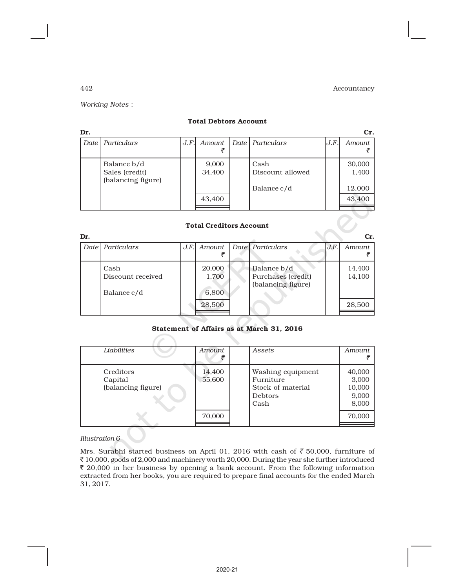442 Accountancy

*Working Notes* :

## Total Debtors Account

| Dr.  |                                                     |      |                 |                          |      | Cr.             |
|------|-----------------------------------------------------|------|-----------------|--------------------------|------|-----------------|
| Date | Particulars                                         | J.F. | Amount          | Date   Particulars       | U.F. | Amount          |
|      | Balance b/d<br>Sales (credit)<br>(balancing figure) |      | 9,000<br>34,400 | Cash<br>Discount allowed |      | 30,000<br>1,400 |
|      |                                                     |      |                 | Balance c/d              |      | 12,000          |
|      |                                                     |      | 43,400          |                          |      | 43,400          |
|      |                                                     |      |                 |                          |      |                 |

### Total Creditors Account

| Dr. |                   |      |        |                    |      | Cr.    |
|-----|-------------------|------|--------|--------------------|------|--------|
|     | Datel Particulars | J.F. | Amount | Date Particulars   | J.F. | Amount |
|     |                   |      |        |                    |      |        |
|     | Cash              |      | 20,000 | Balance b/d        |      | 14,400 |
|     | Discount received |      | 1,700  | Purchases (credit) |      | 14,100 |
|     |                   |      |        | (balancing figure) |      |        |
|     | Balance c/d       |      | 6,800  |                    |      |        |
|     |                   |      | 28,500 |                    |      | 28,500 |
|     |                   |      |        |                    |      |        |

## Statement of Affairs as at March 31, 2016

72

 $\overline{\phantom{0}}$ 

| Liabilities                                | Amount           | Assets                                                                        | Amount                                      |
|--------------------------------------------|------------------|-------------------------------------------------------------------------------|---------------------------------------------|
| Creditors<br>Capital<br>(balancing figure) | 14,400<br>55,600 | Washing equipment<br>Furniture<br>Stock of material<br><b>Debtors</b><br>Cash | 40,000<br>3,000<br>10,000<br>9,000<br>8,000 |
|                                            | 70,000           |                                                                               | 70,000                                      |

## *Illustration 6*

Mrs. Surabhi started business on April 01, 2016 with cash of  $\bar{\tau}$  50,000, furniture of  $\bar{\tau}$  10,000, goods of 2,000 and machinery worth 20,000. During the year she further introduced  $\bar{\xi}$  20,000 in her business by opening a bank account. From the following information extracted from her books, you are required to prepare final accounts for the ended March 31, 2017.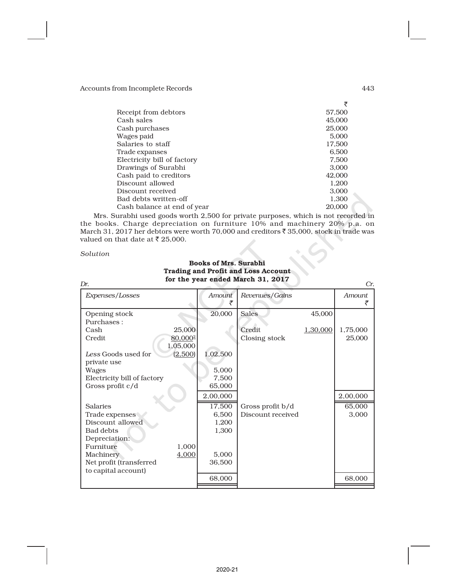|                             | ₹      |  |
|-----------------------------|--------|--|
| Receipt from debtors        | 57,500 |  |
| Cash sales                  | 45,000 |  |
| Cash purchases              | 25,000 |  |
| Wages paid                  | 5,000  |  |
| Salaries to staff           | 17,500 |  |
| Trade expanses              | 6.500  |  |
| Electricity bill of factory | 7.500  |  |
| Drawings of Surabhi         | 3.000  |  |
| Cash paid to creditors      | 42,000 |  |
| Discount allowed            | 1,200  |  |
| Discount received           | 3,000  |  |
| Bad debts written-off       | 1.300  |  |
| Cash balance at end of year | 20.000 |  |
|                             |        |  |

Mrs. Surabhi used goods worth 2,500 for private purposes, which is not recorded in the books. Charge depreciation on furniture 10% and machinery 20% p.a. on March 31, 2017 her debtors were worth 70,000 and creditors  $\bar{z}$  35,000, stock in trade was valued on that date at  $\bar{\tau}$  25,000.

#### *Solution*

# Books of Mrs. Surabhi Trading and Profit and Loss Account

| for the year ended March 31, 2017<br>Dr. |             |                   |          |             |  |  |
|------------------------------------------|-------------|-------------------|----------|-------------|--|--|
| Expenses/Losses                          | Amount<br>₹ | Revenues/Gains    |          | Amount<br>₹ |  |  |
| Opening stock                            | 20,000      | <b>Sales</b>      | 45,000   |             |  |  |
| Purchases:                               |             |                   |          |             |  |  |
| 25,000<br>Cash                           |             | Credit            | 1,30,000 | 1,75,000    |  |  |
| 80,000 <sup>2</sup><br>Credit            |             | Closing stock     |          | 25,000      |  |  |
| 1,05,000                                 |             |                   |          |             |  |  |
| Less Goods used for<br>(2,500)           | 1,02,500    |                   |          |             |  |  |
| private use                              |             |                   |          |             |  |  |
| Wages                                    | 5,000       |                   |          |             |  |  |
| Electricity bill of factory              | 7,500       |                   |          |             |  |  |
| Gross profit c/d                         | 65,000      |                   |          |             |  |  |
|                                          | 2,00,000    |                   |          | 2,00,000    |  |  |
| <b>Salaries</b>                          | 17,500      | Gross profit b/d  |          | 65,000      |  |  |
| Trade expenses                           | 6,500       | Discount received |          | 3,000       |  |  |
| Discount allowed                         | 1,200       |                   |          |             |  |  |
| Bad debts                                | 1,300       |                   |          |             |  |  |
| Depreciation:                            |             |                   |          |             |  |  |
| Furniture<br>1,000                       |             |                   |          |             |  |  |
| 4,000<br>Machinery                       | 5,000       |                   |          |             |  |  |
| Net profit (transferred                  | 36,500      |                   |          |             |  |  |
| to capital account)                      |             |                   |          |             |  |  |
|                                          | 68,000      |                   |          | 68,000      |  |  |
|                                          |             |                   |          |             |  |  |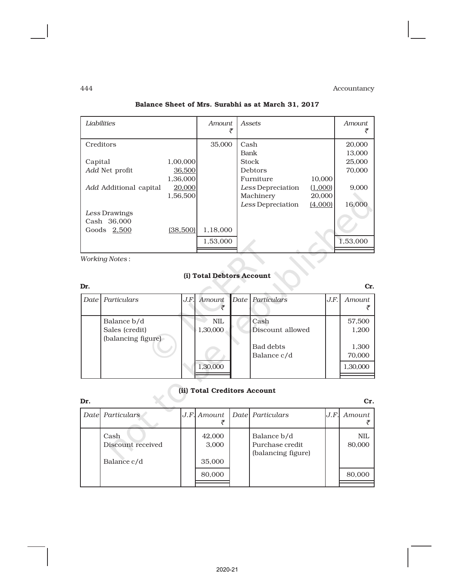| Liabilities            |          | Amount<br>₹ | Assets            |         | Amount.  |
|------------------------|----------|-------------|-------------------|---------|----------|
| Creditors              |          | 35,000      | Cash              |         | 20,000   |
|                        |          |             | Bank              |         | 13,000   |
| Capital                | 1,00,000 |             | <b>Stock</b>      |         | 25,000   |
| Add Net profit         | 36,500   |             | Debtors           |         | 70,000   |
|                        | 1,36,000 |             | Furniture         | 10,000  |          |
| Add Additional capital | 20,000   |             | Less Depreciation | (1,000) | 9.000    |
|                        | 1,56,500 |             | Machinery         | 20,000  |          |
|                        |          |             | Less Depreciation | (4,000) | 16,000   |
| Less Drawings          |          |             |                   |         |          |
| Cash 36,000            |          |             |                   |         |          |
| Goods 2,500            | (38,500) | 1,18,000    |                   |         |          |
|                        |          | 1,53,000    |                   |         | 1,53,000 |
|                        |          |             |                   |         |          |

## Balance Sheet of Mrs. Surabhi as at March 31, 2017

*Working Notes* :

## (i) Total Debtors Account

| Dr. |                                                     |                                    |                                                      |      | Cr.                                            |
|-----|-----------------------------------------------------|------------------------------------|------------------------------------------------------|------|------------------------------------------------|
|     | Date Particulars                                    | J.F. Amount<br>₹                   | Date   Particulars                                   | J.F. | Amount                                         |
|     | Balance b/d<br>Sales (credit)<br>(balancing figure) | <b>NIL</b><br>1,30,000<br>1,30,000 | Cash<br>Discount allowed<br>Bad debts<br>Balance c/d |      | 57,500<br>1,200<br>1,300<br>70,000<br>1,30,000 |
|     |                                                     |                                    |                                                      |      |                                                |

## (ii) Total Creditors Account

| Dr. |                                          |                           |                                                      |        | Cr.                  |
|-----|------------------------------------------|---------------------------|------------------------------------------------------|--------|----------------------|
|     | Datel Particulars                        | J.F. Amount               | Date  Particulars                                    | IJ.F.I | Amount               |
|     | Cash<br>Discount received<br>Balance c/d | 42,000<br>3,000<br>35,000 | Balance b/d<br>Purchase credit<br>(balancing figure) |        | <b>NIL</b><br>80,000 |
|     |                                          | 80,000                    |                                                      |        | 80,000               |
|     |                                          |                           |                                                      |        |                      |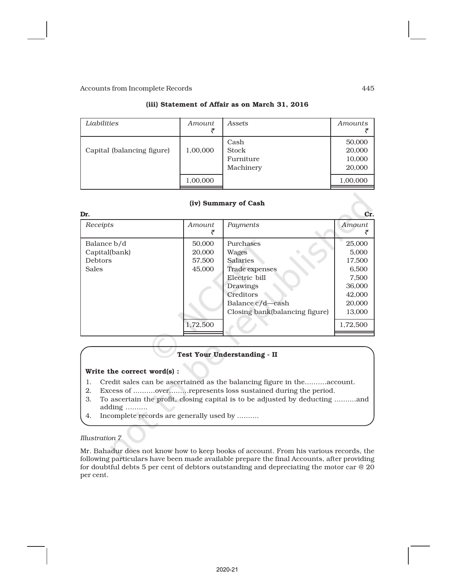#### (iii) Statement of Affair as on March 31, 2016

| Liabilities                | Amount   | <b>Assets</b>                                  | Amounts                              |
|----------------------------|----------|------------------------------------------------|--------------------------------------|
| Capital (balancing figure) | 1,00,000 | Cash<br><b>Stock</b><br>Furniture<br>Machinery | 50,000<br>20,000<br>10,000<br>20,000 |
|                            | 1,00,000 |                                                | 1,00,000                             |

#### (iv) Summary of Cash

| Dr.            |          |                                | Cr.      |
|----------------|----------|--------------------------------|----------|
| Receipts       | Amount   | Payments                       | Amount   |
|                |          |                                |          |
| Balance b/d    | 50,000   | Purchases                      | 25,000   |
| Capital(bank)  | 20,000   | Wages                          | 5,000    |
| <b>Debtors</b> | 57,500   | <b>Salaries</b>                | 17,500   |
| <b>Sales</b>   | 45,000   | Trade expenses                 | 6,500    |
|                |          | Electric bill                  | 7,500    |
|                |          | Drawings                       | 36,000   |
|                |          | Creditors                      | 42,000   |
|                |          | Balance c/d—cash               | 20,000   |
|                |          | Closing bank(balancing figure) | 13,000   |
|                | 1,72,500 |                                | 1,72,500 |
|                |          |                                |          |

#### Test Your Understanding - II

#### Write the correct word(s) :

- 1. Credit sales can be ascertained as the balancing figure in the..........account.
- 2. Excess of ..........over.........represents loss sustained during the period.
- 3. To ascertain the profit, closing capital is to be adjusted by deducting ..........and adding ..........
- 4. Incomplete records are generally used by ..........

#### *Illustration 7*

Mr. Bahadur does not know how to keep books of account. From his various records, the following particulars have been made available prepare the final Accounts, after providing for doubtful debts 5 per cent of debtors outstanding and depreciating the motor car @ 20 per cent.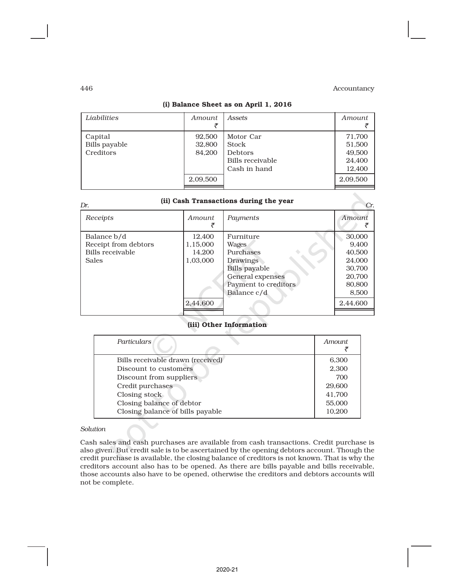| Liabilities                           | Amount<br>チ                | <i>Assets</i>                                                            | Amount                                         |
|---------------------------------------|----------------------------|--------------------------------------------------------------------------|------------------------------------------------|
| Capital<br>Bills payable<br>Creditors | 92,500<br>32,800<br>84.200 | Motor Car<br>Stock<br><b>Debtors</b><br>Bills receivable<br>Cash in hand | 71,700<br>51,500<br>49,500<br>24,400<br>12,400 |
|                                       | 2,09,500                   |                                                                          | 2,09,500                                       |

## (i) Balance Sheet as on April 1, 2016

| Dr.                  |          | (ii) Cash Transactions during the year | Cr.      |
|----------------------|----------|----------------------------------------|----------|
| Receipts             | Amount   | Payments                               | Amount   |
| Balance b/d          | 12.400   | Furniture                              | 30,000   |
| Receipt from debtors | 1,15,000 | Wages                                  | 9.400    |
| Bills receivable     | 14.200   | Purchases                              | 40,500   |
| <b>Sales</b>         | 1,03,000 | Drawings                               | 24,000   |
|                      |          | <b>Bills</b> payable                   | 30,700   |
|                      |          | General expenses                       | 20,700   |
|                      |          | Payment to creditors                   | 80,800   |
|                      |          | Balance c/d                            | 8,500    |
|                      | 2,44,600 |                                        | 2,44,600 |
|                      |          |                                        |          |

# (iii) Other Information

| Particulars                       | Amount. |
|-----------------------------------|---------|
| Bills receivable drawn (received) | 6,300   |
| Discount to customers             | 2,300   |
| Discount from suppliers           | 700     |
| Credit purchases                  | 29,600  |
| Closing stock                     | 41,700  |
| Closing balance of debtor         | 55,000  |
| Closing balance of bills payable  | 10,200  |

#### *Solution*

Cash sales and cash purchases are available from cash transactions. Credit purchase is also given. But credit sale is to be ascertained by the opening debtors account. Though the credit purchase is available, the closing balance of creditors is not known. That is why the creditors account also has to be opened. As there are bills payable and bills receivable, those accounts also have to be opened, otherwise the creditors and debtors accounts will not be complete.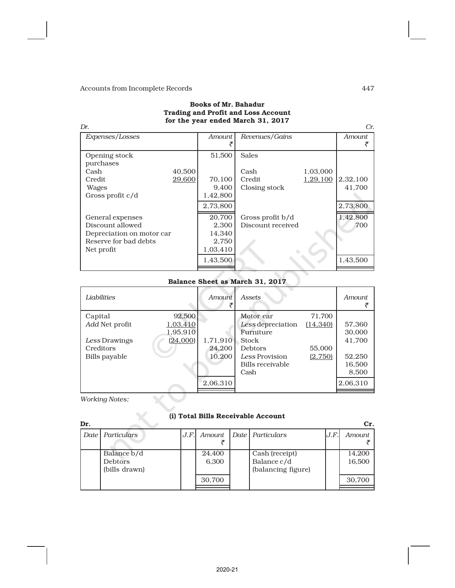### Books of Mr. Bahadur Trading and Profit and Loss Account for the year ended March 31, 2017

|          |                     | Cr.      |
|----------|---------------------|----------|
| Amount   | Revenues/Gains      | Amount   |
|          |                     |          |
| 51,500   | <b>Sales</b>        |          |
|          |                     |          |
|          | 1,03,000<br>Cash    |          |
| 70.100   | 1,29,100<br>Credit. | 2,32,100 |
| 9,400    | Closing stock       | 41,700   |
| 1,42,800 |                     |          |
| 2,73,800 |                     | 2,73,800 |
| 20,700   | Gross profit b/d    | 1,42,800 |
| 2,300    | Discount received   | 700      |
| 14,340   |                     |          |
| 2,750    |                     |          |
| 1,03,410 |                     |          |
| 1,43,500 |                     | 1,43,500 |
|          | 40,500<br>29,600    |          |

## Balance Sheet as March 31, 2017

| Liabilities                |                      | Amount             | Assets                                      |                     | <i>Amount</i>     |
|----------------------------|----------------------|--------------------|---------------------------------------------|---------------------|-------------------|
| Capital<br>Add Net profit  | 92,500<br>1,03,410   |                    | Motor car<br>Less depreciation              | 71,700<br>(14, 340) | 57,360            |
| Less Drawings<br>Creditors | 1,95,910<br>(24,000) | 1,71,910<br>24,200 | Furniture<br><b>Stock</b><br><b>Debtors</b> | 55,000              | 30,000<br>41,700  |
| Bills payable              |                      | 10.200             | Less Provision<br>Bills receivable          | (2,750)             | 52,250<br>16,500  |
|                            |                      | 2,06,310           | Cash                                        |                     | 8,500<br>2,06,310 |

*Working Notes:*

## (i) Total Bills Receivable Account

| Dr. |                                                |      |                 |                                                     |       | Cr.              |
|-----|------------------------------------------------|------|-----------------|-----------------------------------------------------|-------|------------------|
|     | Date Particulars                               | J.F. |                 | Amount Date Particulars                             | IJ.F. | Amount           |
|     | Balance b/d<br><b>Debtors</b><br>(bills drawn) |      | 24,400<br>6.300 | Cash (receipt)<br>Balance c/d<br>(balancing figure) |       | 14,200<br>16,500 |
|     |                                                |      | 30,700          |                                                     |       | 30,700           |
|     |                                                |      |                 |                                                     |       |                  |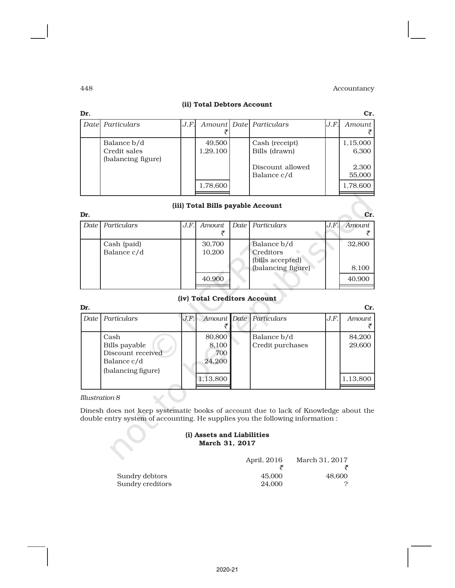| Dr. |                    |      |          |                          |      | Cr.      |
|-----|--------------------|------|----------|--------------------------|------|----------|
|     | Datel Particulars  | J.F. |          | Amount Datel Particulars | U.F. | Amount   |
|     |                    |      |          |                          |      |          |
|     | Balance b/d        |      | 49,500   | Cash (receipt)           |      | 1,15,000 |
|     | Credit sales       |      | 1,29,100 | Bills (drawn)            |      | 6,300    |
|     | (balancing figure) |      |          |                          |      |          |
|     |                    |      |          | Discount allowed         |      | 2,300    |
|     |                    |      |          | Balance c/d              |      | 55,000   |
|     |                    |      | 1,78,600 |                          |      | 1,78,600 |
|     |                    |      |          |                          |      |          |

## (ii) Total Debtors Account

## (iii) Total Bills payable Account

| Dr.  |             |      |        |                    |      | Cr.     |
|------|-------------|------|--------|--------------------|------|---------|
| Date | Particulars | J.F. | Amount | Date Particulars   | J.F. | Amount. |
|      |             |      |        |                    |      |         |
|      | Cash (paid) |      | 30,700 | Balance b/d        |      | 32,800  |
|      | Balance c/d |      | 10.200 | Creditors          |      |         |
|      |             |      |        | (bills accepted)   |      |         |
|      |             |      |        | (balancing figure) |      | 8,100   |
|      |             |      | 40,900 |                    |      | 40,900  |
|      |             |      |        |                    |      |         |

## (iv) Total Creditors Account

| ۰.                           |
|------------------------------|
| ×<br>I<br>۰<br>.,<br>۰.<br>× |

| Dr. |                                                                                 |      |                                              |                                 |      | Cr.                          |
|-----|---------------------------------------------------------------------------------|------|----------------------------------------------|---------------------------------|------|------------------------------|
|     | Date   Particulars                                                              | J.F. |                                              | Amount Date Particulars         | J.F. | Amount.                      |
|     | Cash<br>Bills payable<br>Discount received<br>Balance c/d<br>(balancing figure) |      | 80,800<br>8,100<br>700<br>24,200<br>1,13,800 | Balance b/d<br>Credit purchases |      | 84,200<br>29,600<br>1,13,800 |

### *Illustration 8*

Dinesh does not keep systematic books of account due to lack of Knowledge about the double entry system of accounting. He supplies you the following information :

### (i) Assets and Liabilities March 31, 2017

| April, 2016 | March 31, 2017 |
|-------------|----------------|
|             |                |
| 45,000      | 48.600         |
| 24.000      |                |
|             |                |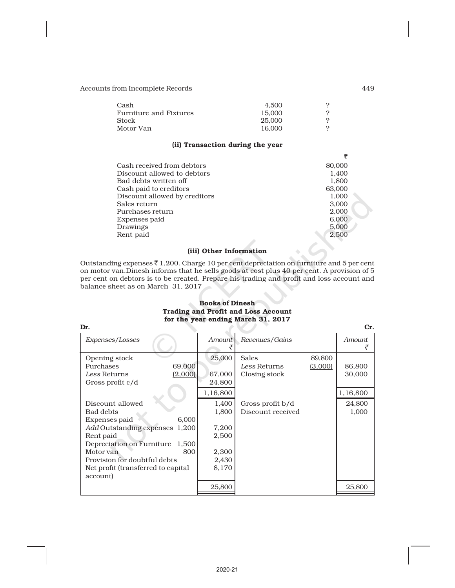| Cash                          | 4.500  |   |
|-------------------------------|--------|---|
| <b>Furniture and Fixtures</b> | 15,000 |   |
| <b>Stock</b>                  | 25,000 | ? |
| Motor Van                     | 16,000 |   |
|                               |        |   |

#### (ii) Transaction during the year

| Cash received from debtors    | 80,000 |
|-------------------------------|--------|
| Discount allowed to debtors   | 1.400  |
| Bad debts written off         | 1,800  |
| Cash paid to creditors        | 63,000 |
| Discount allowed by creditors | 1,000  |
| Sales return                  | 3.000  |
| Purchases return              | 2.000  |
| Expenses paid                 | 6,000  |
| Drawings                      | 5,000  |
| Rent paid                     | 2,500  |
|                               |        |

#### (iii) Other Information

Outstanding expenses  $\bar{\tau}$  1,200. Charge 10 per cent depreciation on furniture and 5 per cent on motor van.Dinesh informs that he sells goods at cost plus 40 per cent. A provision of 5 per cent on debtors is to be created. Prepare his trading and profit and loss account and balance sheet as on March 31, 2017

#### Books of Dinesh Trading and Profit and Loss Account for the year ending March 31, 2017

| Dr.                                |               |                         | Cr.      |
|------------------------------------|---------------|-------------------------|----------|
| Expenses/Losses                    | <i>Amount</i> | Revenues/Gains          | Amount   |
|                                    |               |                         |          |
| Opening stock                      | 25,000        | <b>Sales</b><br>89,800  |          |
| 69,000<br>Purchases                |               | Less Returns<br>(3,000) | 86,800   |
| (2,000)<br>Less Returns            | 67,000        | Closing stock           | 30,000   |
| Gross profit c/d                   | 24,800        |                         |          |
|                                    | 1,16,800      |                         | 1,16,800 |
| Discount allowed                   | 1,400         | Gross profit b/d        | 24,800   |
| Bad debts                          | 1,800         | Discount received       | 1,000    |
| 6,000<br>Expenses paid             |               |                         |          |
| Add Outstanding expenses 1,200     | 7,200         |                         |          |
| Rent paid                          | 2,500         |                         |          |
| Depreciation on Furniture<br>1.500 |               |                         |          |
| Motor yan<br>800                   | 2,300         |                         |          |
| Provision for doubtful debts       | 2,430         |                         |          |
| Net profit (transferred to capital | 8,170         |                         |          |
| account)                           |               |                         |          |
|                                    | 25,800        |                         | 25,800   |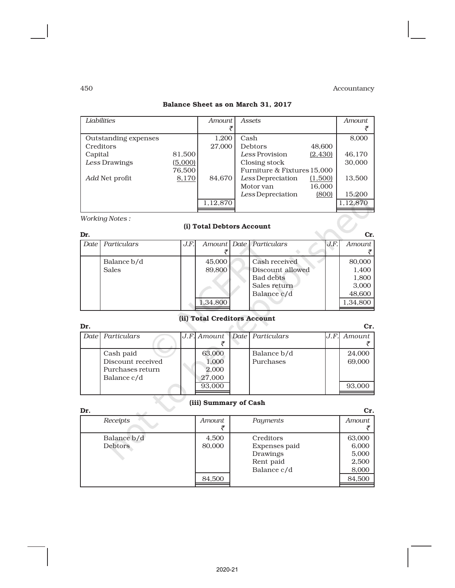|                      |         | 1,12,870 | Less Depreciation              | (800)             | 15,200<br>1,12,870 |
|----------------------|---------|----------|--------------------------------|-------------------|--------------------|
| Add Net profit       | 8,170   | 84.670   | Less Depreciation<br>Motor yan | (1,500)<br>16,000 | 13.500             |
|                      | 76,500  |          | Furniture & Fixtures 15,000    |                   |                    |
| Less Drawings        | (5,000) |          | Closing stock                  |                   | 30,000             |
| Capital              | 81,500  |          | Less Provision                 | (2, 430)          | 46.170             |
| Creditors            |         | 27,000   | Debtors                        | 48,600            |                    |
| Outstanding expenses |         | 1.200    | Cash                           |                   | 8,000              |
|                      |         |          |                                |                   |                    |
| Liabilities          |         | Amount.  | <b>Assets</b>                  |                   | Amount.            |

## Balance Sheet as on March 31, 2017

## (i) Total Debtors Account

| Dr.  |              |      |          |                         |      | Cr.      |
|------|--------------|------|----------|-------------------------|------|----------|
| Date | Particulars  | J.F. |          | Amount Date Particulars | J.F. | Amount   |
|      |              |      |          |                         |      |          |
|      | Balance b/d  |      | 45,000   | Cash received           |      | 80,000   |
|      | <b>Sales</b> |      | 89,800   | Discount allowed        |      | 1,400    |
|      |              |      |          | Bad debts               |      | 1,800    |
|      |              |      |          | Sales return            |      | 3,000    |
|      |              |      |          | Balance c/d             |      | 48,600   |
|      |              |      | 1,34,800 |                         |      | 1,34,800 |
|      |              |      |          |                         |      |          |

## (ii) Total Creditors Account

| Dr. |                   |        |                              |       | Сr.    |
|-----|-------------------|--------|------------------------------|-------|--------|
|     | Date  Particulars |        | J.F. Amount Date Particulars | J.F.I | Amount |
|     |                   |        |                              |       |        |
|     | Cash paid         | 63,000 | Balance b/d                  |       | 24,000 |
|     | Discount received | 1,000  | Purchases                    |       | 69,000 |
|     | Purchases return  | 2,000  |                              |       |        |
|     | Balance c/d       | 27,000 |                              |       |        |
|     |                   | 93,000 |                              |       | 93,000 |
|     |                   |        |                              |       |        |

## (iii) Summary of Cash

| Dr.            |        |               | Cr.    |
|----------------|--------|---------------|--------|
| Receipts       | Amount | Payments      | Amount |
|                |        |               |        |
| Balance b/d    | 4.500  | Creditors     | 63,000 |
| <b>Debtors</b> | 80,000 | Expenses paid | 6,000  |
|                |        | Drawings      | 5,000  |
|                |        | Rent paid     | 2,500  |
|                |        | Balance c/d   | 8,000  |
|                | 84,500 |               | 84,500 |
|                |        |               |        |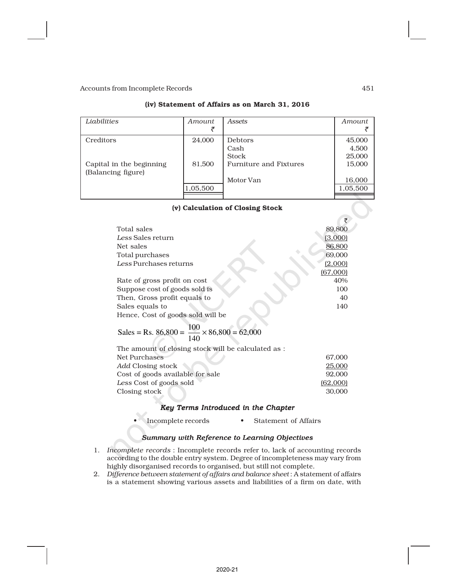| Liabilities                                    | <i>Amount</i>    | <b>Assets</b>                                                           | Amount                              |
|------------------------------------------------|------------------|-------------------------------------------------------------------------|-------------------------------------|
| Creditors                                      | 24,000<br>81,500 | <b>Debtors</b><br>Cash<br><b>Stock</b><br><b>Furniture and Fixtures</b> | 45,000<br>4,500<br>25,000<br>15,000 |
| Capital in the beginning<br>(Balancing figure) | 1,05,500         | Motor Van                                                               | 16,000<br>1,05,500                  |

### (iv) Statement of Affairs as on March 31, 2016

## (v) Calculation of Closing Stock

|                                                               | ₹        |
|---------------------------------------------------------------|----------|
| Total sales                                                   | 89,800   |
| Less Sales return                                             | (3,000)  |
| Net sales                                                     | 86,800   |
| Total purchases                                               | 69,000   |
| Less Purchases returns                                        | (2,000)  |
|                                                               | (67,000) |
| Rate of gross profit on cost                                  | 40%      |
| Suppose cost of goods sold is                                 | 100      |
| Then, Gross profit equals to                                  | 40       |
| Sales equals to                                               | 140      |
| Hence, Cost of goods sold will be                             |          |
| Sales = Rs. $86,800 = \frac{100}{140} \times 86,800 = 62,000$ |          |
| The amount of closing stock will be calculated as :           |          |
| <b>Net Purchases</b>                                          | 67,000   |
| <i>Add</i> Closing stock                                      | 25,000   |
| Cost of goods available for sale                              | 92,000   |
| Less Cost of goods sold                                       | (62,000) |
| Closing stock                                                 | 30,000   |
|                                                               |          |

## *Key Terms Introduced in the Chapter*

Incomplete records • Statement of Affairs

## *Summary with Reference to Learning Objectives*

- 1. *Incomplete records* : Incomplete records refer to, lack of accounting records according to the double entry system. Degree of incompleteness may vary from highly disorganised records to organised, but still not complete.
- 2. *Difference between statement of affairs and balance sheet*: A statement of affairs is a statement showing various assets and liabilities of a firm on date, with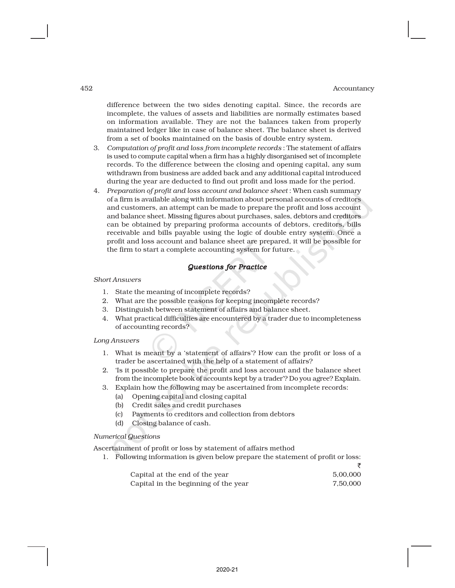₹

difference between the two sides denoting capital. Since, the records are incomplete, the values of assets and liabilities are normally estimates based on information available. They are not the balances taken from properly maintained ledger like in case of balance sheet. The balance sheet is derived from a set of books maintained on the basis of double entry system.

- 3. *Computation of profit and loss from incomplete records* : The statement of affairs is used to compute capital when a firm has a highly disorganised set of incomplete records. To the difference between the closing and opening capital, any sum withdrawn from business are added back and any additional capital introduced during the year are deducted to find out profit and loss made for the period.
- 4. *Preparation of profit and loss account and balance sheet* : When cash summary of a firm is available along with information about personal accounts of creditors and customers, an attempt can be made to prepare the profit and loss account and balance sheet. Missing figures about purchases, sales, debtors and creditors can be obtained by preparing proforma accounts of debtors, creditors, bills receivable and bills payable using the logic of double entry system. Once a profit and loss account and balance sheet are prepared, it will be possible for the firm to start a complete accounting system for future.

#### *Questions for Practice*

#### *Short Answers*

- 1. State the meaning of incomplete records?
- 2. What are the possible reasons for keeping incomplete records?
- 3. Distinguish between statement of affairs and balance sheet.
- 4. What practical difficulties are encountered by a trader due to incompleteness of accounting records?

#### *Long Answers*

- 1. What is meant by a 'statement of affairs'? How can the profit or loss of a trader be ascertained with the help of a statement of affairs?
- 2. 'Is it possible to prepare the profit and loss account and the balance sheet from the incomplete book of accounts kept by a trader'? Do you agree? Explain.
- 3. Explain how the following may be ascertained from incomplete records:
	- (a) Opening capital and closing capital
	- (b) Credit sales and credit purchases
	- (c) Payments to creditors and collection from debtors
	- (d) Closing balance of cash.

#### *Numerical Questions*

Ascertainment of profit or loss by statement of affairs method

1. Following information is given below prepare the statement of profit or loss:

| Capital at the end of the year       | 5,00,000 |
|--------------------------------------|----------|
| Capital in the beginning of the year | 7.50.000 |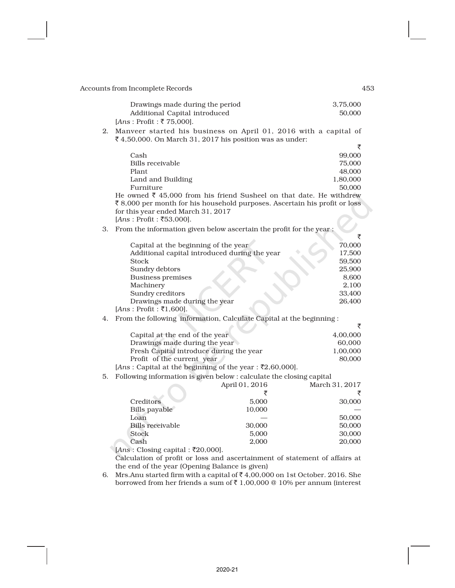|    | Drawings made during the period                             |                                                                                | 3,75,000         |
|----|-------------------------------------------------------------|--------------------------------------------------------------------------------|------------------|
|    | Additional Capital introduced<br>[Ans : Profit : ₹ 75,000]. |                                                                                | 50,000           |
| 2. |                                                             | Manveer started his business on April 01, 2016 with a capital of               |                  |
|    |                                                             | ₹ 4,50,000. On March 31, 2017 his position was as under:                       |                  |
|    | Cash                                                        |                                                                                | 99,000           |
|    | Bills receivable                                            |                                                                                | 75,000           |
|    | Plant                                                       |                                                                                | 48,000           |
|    | Land and Building                                           |                                                                                | 1,80,000         |
|    | Furniture                                                   | He owned $\bar{\tau}$ 45,000 from his friend Susheel on that date. He withdrew | 50,000           |
|    | for this year ended March 31, 2017                          | ₹8,000 per month for his household purposes. Ascertain his profit or loss      |                  |
|    | [Ans : Profit : ₹53,000].                                   |                                                                                |                  |
| 3. |                                                             | From the information given below ascertain the profit for the year :           | ₹                |
|    | Capital at the beginning of the year                        |                                                                                | 70,000           |
|    | Additional capital introduced during the year               |                                                                                | 17,500           |
|    | <b>Stock</b><br>Sundry debtors                              |                                                                                | 59,500<br>25,900 |
|    | <b>Business premises</b>                                    |                                                                                | 8,600            |
|    | Machinery                                                   |                                                                                | 2,100            |
|    | Sundry creditors                                            |                                                                                | 33,400           |
|    | Drawings made during the year<br>[Ans : Profit : ₹1,600].   |                                                                                | 26,400           |
| 4. |                                                             | From the following information, Calculate Capital at the beginning:            |                  |
|    | Capital at the end of the year                              |                                                                                | ₹<br>4,00,000    |
|    | Drawings made during the year                               |                                                                                | 60,000           |
|    | Fresh Capital introduce during the year                     |                                                                                | 1,00,000         |
|    | Profit of the current year                                  |                                                                                | 80,000           |
| 5. | [Ans : Capital at thé beginning of the year : ₹2,60,000].   | Following information is given below : calculate the closing capital           |                  |
|    |                                                             | April 01, 2016                                                                 | March 31, 2017   |
|    |                                                             |                                                                                |                  |
|    | Creditors                                                   | 5,000                                                                          | 30,000           |
|    | Bills payable                                               | 10,000                                                                         | 50,000           |
|    | Loan<br>Bills receivable                                    | 30,000                                                                         | 50,000           |
|    | <b>Stock</b>                                                | 5,000                                                                          | 30,000           |
|    | Cash                                                        | 2,000                                                                          | 20,000           |
|    | [Ans : Closing capital : ₹20,000].                          | Calculation of profit or loss and ascertainment of statement of affairs at     |                  |
|    |                                                             |                                                                                |                  |

the end of the year (Opening Balance is given)

<sup>6.</sup> Mrs.Anu started firm with a capital of  $\bar{\mathfrak{c}}$  4,00,000 on 1st October. 2016. She borrowed from her friends a sum of  $\bar{z}$  1,00,000 @ 10% per annum (interest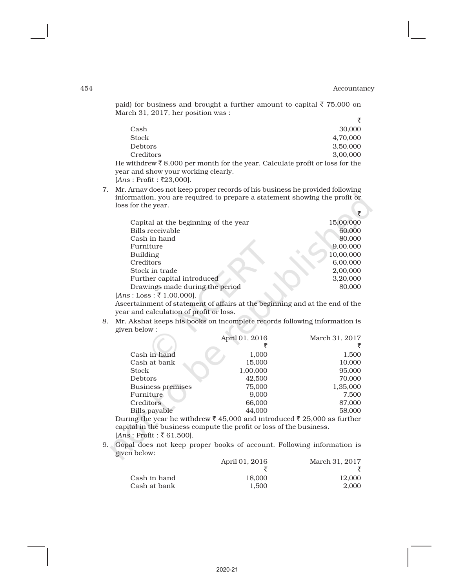paid) for business and brought a further amount to capital  $\bar{z}$  75,000 on March 31, 2017, her position was :  $\rightarrow$ 

| Cash                                                                                          | 30,000   |
|-----------------------------------------------------------------------------------------------|----------|
| Stock                                                                                         | 4.70.000 |
| <b>Debtors</b>                                                                                | 3.50,000 |
| Creditors                                                                                     | 3.00.000 |
| He withdrew $\bar{\bar{\tau}}$ 8,000 per month for the year. Calculate profit or loss for the |          |

year and show your working clearly.  $[Ans: Profit: ₹23,000].$ 

7. Mr. Arnav does not keep proper records of his business he provided following information, you are required to prepare a statement showing the profit or loss for the year.  $\bar{\tau}$ 

| Capital at the beginning of the year | 15,00,000 |
|--------------------------------------|-----------|
| Bills receivable                     | 60,000    |
| Cash in hand                         | 80,000    |
| Furniture                            | 9,00,000  |
| Building                             | 10,00,000 |
| Creditors                            | 6.00.000  |
| Stock in trade                       | 2,00,000  |
| Further capital introduced           | 3,20,000  |
| Drawings made during the period      | 80,000    |
|                                      |           |

 $[Ans: Loss: \bar{z} 1,00,000].$ 

Ascertainment of statement of affairs at the beginning and at the end of the year and calculation of profit or loss.

8. Mr. Akshat keeps his books on incomplete records following information is given below :

|                          | April 01, 2016 | March 31, 2017 |
|--------------------------|----------------|----------------|
|                          |                | ₹              |
| Cash in hand             | 1,000          | 1,500          |
| Cash at bank             | 15,000         | 10,000         |
| <b>Stock</b>             | 1,00,000       | 95,000         |
| <b>Debtors</b>           | 42,500         | 70,000         |
| <b>Business premises</b> | 75,000         | 1,35,000       |
| Furniture                | 9,000          | 7,500          |
| Creditors                | 66,000         | 87,000         |
| Bills payable            | 44.000         | 58,000         |

During the year he withdrew  $\bar{\xi}$  45,000 and introduced  $\bar{\xi}$  25,000 as further capital in the business compute the profit or loss of the business.  $[Ans: Profit: ₹ 61,500].$ 

9. Gopal does not keep proper books of account. Following information is given below:

|              | April 01, 2016 | March 31, 2017 |
|--------------|----------------|----------------|
|              |                |                |
| Cash in hand | 18,000         | 12.000         |
| Cash at bank | 1.500          | 2.000          |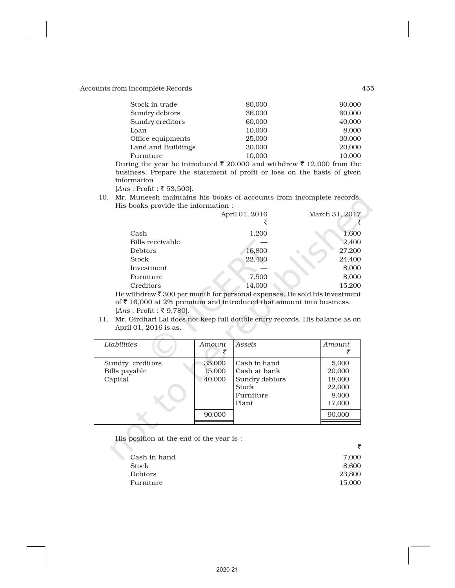| Stock in trade     | 80,000 | 90,000 |
|--------------------|--------|--------|
| Sundry debtors     | 36,000 | 60,000 |
| Sundry creditors   | 60,000 | 40,000 |
| Loan               | 10,000 | 8,000  |
| Office equipments  | 25,000 | 30,000 |
| Land and Buildings | 30,000 | 20,000 |
| Furniture          | 10,000 | 10,000 |
|                    |        |        |

During the year he introduced  $\bar{\tau}$  20,000 and withdrew  $\bar{\tau}$  12,000 from the business. Prepare the statement of profit or loss on the basis of given information

 $[Ans: Profit: ₹ 53,500].$ 

10. Mr. Muneesh maintains his books of accounts from incomplete records. His books provide the information :

|                  | April 01, 2016 | March 31, 2017 |
|------------------|----------------|----------------|
|                  |                |                |
| Cash             | 1,200          | 1,600          |
| Bills receivable |                | 2,400          |
| Debtors          | 16,800         | 27,200         |
| <b>Stock</b>     | 22,400         | 24,400         |
| Investment       |                | 8,000          |
| Furniture        | 7,500          | 8,000          |
| Creditors        | 14,000         | 15.200         |

He withdrew  $\bar{\tau}$  300 per month for personal expenses. He sold his investment of  $\overline{\mathfrak{c}}$  16,000 at 2% premium and introduced that amount into business.  $[Ans: Profit: ₹ 9,780].$ 

11. Mr. Girdhari Lal does not keep full double entry records. His balance as on April 01, 2016 is as.

| Liabilities                                  | Amount                     | <b>Assets</b>                                                                         | <i>Amount</i>                                          |
|----------------------------------------------|----------------------------|---------------------------------------------------------------------------------------|--------------------------------------------------------|
| Sundry creditors<br>Bills payable<br>Capital | 35,000<br>15,000<br>40,000 | Cash in hand<br>Cash at bank<br>Sundry debtors<br><b>Stock</b><br>Furniture<br>Plant. | 5,000<br>20,000<br>18,000<br>22,000<br>8,000<br>17,000 |
|                                              | 90,000                     |                                                                                       | 90,000                                                 |

His position at the end of the year is :

|              | ₹      |
|--------------|--------|
| Cash in hand | 7,000  |
| Stock        | 8,600  |
| Debtors      | 23,800 |
| Furniture    | 15,000 |
|              |        |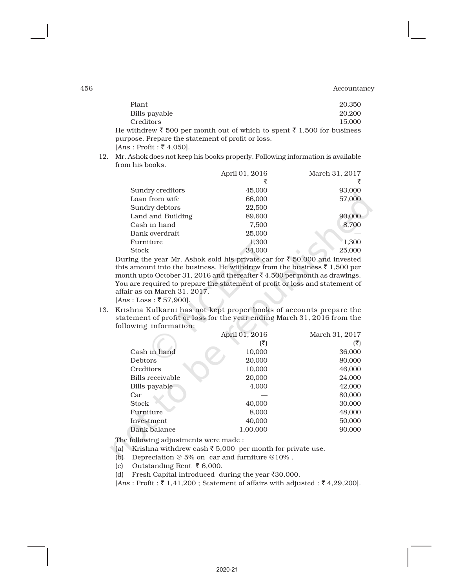456 Accountancy

| Plant.          |  |   |                                                         | 20,350 |
|-----------------|--|---|---------------------------------------------------------|--------|
| Bills payable   |  |   |                                                         | 20,200 |
| Creditors       |  |   |                                                         | 15,000 |
| $\tau = -$<br>. |  | . | $\sim$ $\sim$ $\sim$ $\sim$ $\sim$ $\sim$ $\sim$ $\sim$ |        |

He withdrew  $\bar{\tau}$  500 per month out of which to spent  $\bar{\tau}$  1,500 for business purpose. Prepare the statement of profit or loss.  $[Ans: Profit: ₹ 4,050].$ 

12. Mr. Ashok does not keep his books properly. Following information is available from his books.

|                   | April 01, 2016 | March 31, 2017 |
|-------------------|----------------|----------------|
|                   |                |                |
| Sundry creditors  | 45,000         | 93,000         |
| Loan from wife    | 66,000         | 57,000         |
| Sundry debtors    | 22,500         |                |
| Land and Building | 89,600         | 90,000         |
| Cash in hand      | 7,500          | 8,700          |
| Bank overdraft    | 25,000         |                |
| Furniture         | 1,300          | 1,300          |
| Stock             | 34,000         | 25,000         |

During the year Mr. Ashok sold his private car for  $\bar{\tau}$  50,000 and invested this amount into the business. He withdrew from the business  $\bar{\tau}$  1,500 per month upto October 31, 2016 and thereafter  $\bar{e}$  4,500 per month as drawings. You are required to prepare the statement of profit or loss and statement of affair as on March 31, 2017.  $[Ans: Loss: \overline{5} 57,900]$ .

13. Krishna Kulkarni has not kept proper books of accounts prepare the statement of profit or loss for the year ending March 31, 2016 from the following information:

|                  | April 01, 2016 | March 31, 2017 |
|------------------|----------------|----------------|
|                  | (₹)            | (₹)            |
| Cash in hand     | 10,000         | 36,000         |
| Debtors          | 20,000         | 80,000         |
| Creditors        | 10,000         | 46,000         |
| Bills receivable | 20,000         | 24,000         |
| Bills payable    | 4,000          | 42,000         |
| Car              |                | 80,000         |
| <b>Stock</b>     | 40,000         | 30,000         |
| Furniture        | 8,000          | 48,000         |
| Investment       | 40,000         | 50,000         |
| Bank balance     | 1,00,000       | 90,000         |
|                  |                |                |

The following adjustments were made :

- (a) Krishna withdrew cash  $\bar{\tau}$  5,000 per month for private use.
- (b) Depreciation @ 5% on car and furniture @10% .
- (c) Outstanding Rent ₹6,000.
- (d) Fresh Capital introduced during the year ₹30,000.

 $[Ans: Profit: \t{7} 1,41,200; Statement of affairs with adjusted: \t{7} 4,29,200].$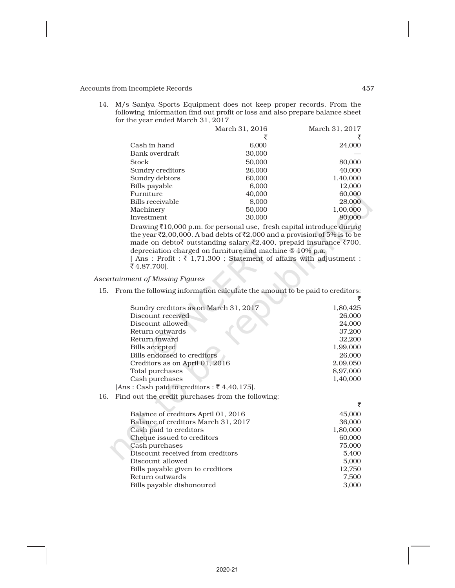14. M/s Saniya Sports Equipment does not keep proper records. From the following information find out profit or loss and also prepare balance sheet for the year ended March 31, 2017

|                  | March 31, 2016 | March 31, 2017 |
|------------------|----------------|----------------|
|                  |                |                |
| Cash in hand     | 6,000          | 24,000         |
| Bank overdraft   | 30,000         |                |
| Stock            | 50,000         | 80,000         |
| Sundry creditors | 26,000         | 40,000         |
| Sundry debtors   | 60,000         | 1,40,000       |
| Bills payable    | 6,000          | 12,000         |
| Furniture        | 40,000         | 60,000         |
| Bills receivable | 8,000          | 28,000         |
| Machinery        | 50,000         | 1,00,000       |
| Investment       | 30,000         | 80,000         |
|                  |                |                |

Drawing  $\bar{\xi}$ 10,000 p.m. for personal use, fresh capital introduce during the year  $\bar{z}2,00,000$ . A bad debts of  $\bar{z}2,000$  and a provision of 5% is to be made on debto₹ outstanding salary ₹2,400, prepaid insurance ₹700, depreciation charged on furniture and machine @ 10% p.a.

[Ans : Profit :  $\bar{\tau}$  1,71,300 ; Statement of affairs with adjustment :  $\bar{z}$  4,87,700].

*Ascertainment of Missing Figures*

15. From the following information calculate the amount to be paid to creditors:  $\bar{z}$ 

| Sundry creditors as on March 31, 2017 | 1,80,425 |
|---------------------------------------|----------|
| Discount received                     | 26,000   |
| Discount allowed                      | 24,000   |
| Return outwards                       | 37,200   |
| Return inward                         | 32,200   |
| <b>Bills</b> accepted                 | 1,99,000 |
| Bills endorsed to creditors           | 26,000   |
| Creditors as on April 01, 2016        | 2,09,050 |
| Total purchases                       | 8,97,000 |
| Cash purchases                        | 1,40,000 |
|                                       |          |

 $[Ans: Cash paid to credits: \mathfrak{F} 4,40,175]$ .

16. Find out the credit purchases from the following:

|                                     | ₹        |
|-------------------------------------|----------|
| Balance of creditors April 01, 2016 | 45,000   |
| Balance of creditors March 31, 2017 | 36,000   |
| Cash paid to creditors              | 1,80,000 |
| Cheque issued to creditors          | 60,000   |
| Cash purchases                      | 75,000   |
| Discount received from creditors    | 5,400    |
| Discount allowed                    | 5,000    |
| Bills payable given to creditors    | 12,750   |
| Return outwards                     | 7,500    |
| Bills payable dishonoured           | 3.000    |
|                                     |          |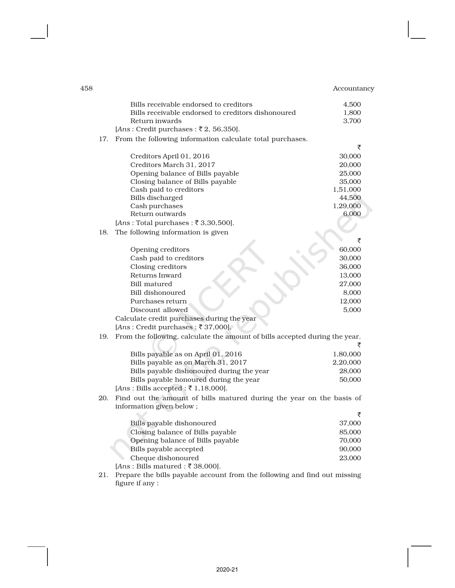| 458 |     |                                                                             | Accountancy |
|-----|-----|-----------------------------------------------------------------------------|-------------|
|     |     | Bills receivable endorsed to creditors                                      | 4,500       |
|     |     | Bills receivable endorsed to creditors dishonoured                          | 1,800       |
|     |     | Return inwards                                                              | 3,700       |
|     |     | [Ans : Credit purchases : ₹2, 56,350].                                      |             |
|     | 17. | From the following information calculate total purchases.                   |             |
|     |     |                                                                             | ₹           |
|     |     | Creditors April 01, 2016                                                    | 30,000      |
|     |     | Creditors March 31, 2017                                                    | 20,000      |
|     |     | Opening balance of Bills payable                                            | 25,000      |
|     |     | Closing balance of Bills payable                                            | 35,000      |
|     |     | Cash paid to creditors                                                      | 1,51,000    |
|     |     | Bills discharged                                                            | 44,500      |
|     |     | Cash purchases                                                              | 1,29,000    |
|     |     | Return outwards                                                             | 6,000       |
|     |     | [Ans : Total purchases : ₹3,30,500].                                        |             |
|     | 18. | The following information is given                                          |             |
|     |     |                                                                             | ₹           |
|     |     | Opening creditors                                                           | 60,000      |
|     |     | Cash paid to creditors                                                      | 30,000      |
|     |     | Closing creditors                                                           | 36,000      |
|     |     | Returns Inward                                                              | 13,000      |
|     |     | <b>Bill matured</b>                                                         | 27,000      |
|     |     | Bill dishonoured                                                            | 8,000       |
|     |     | Purchases return                                                            | 12,000      |
|     |     | Discount allowed                                                            | 5,000       |
|     |     | Calculate credit purchases during the year                                  |             |
|     |     | [Ans : Credit purchases : ₹ 37,000].                                        |             |
|     | 19. | From the following, calculate the amount of bills accepted during the year. | ₹           |
|     |     | Bills payable as on April 01, 2016                                          | 1,80,000    |
|     |     | Bills payable as on March 31, 2017                                          | 2,20,000    |
|     |     | Bills payable dishonoured during the year                                   | 28,000      |
|     |     | Bills payable honoured during the year                                      | 50,000      |
|     |     | [Ans : Bills accepted : ₹1,18,000].                                         |             |
|     | 20. | Find out the amount of bills matured during the year on the basis of        |             |
|     |     | information given below;                                                    |             |
|     |     |                                                                             | ₹           |
|     |     | Bills payable dishonoured                                                   | 37,000      |
|     |     | Closing balance of Bills payable                                            | 85,000      |
|     |     | Opening balance of Bills payable                                            | 70,000      |
|     |     | Bills payable accepted                                                      | 90,000      |
|     |     | Cheque dishonoured                                                          | 23,000      |
|     |     | $[Ans:$ Bills matured : ₹ 38,000].                                          |             |
|     |     |                                                                             |             |

21. Prepare the bills payable account from the following and find out missing figure if any :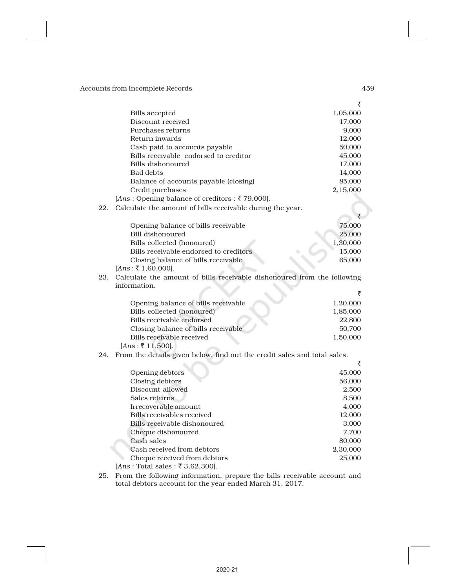|     |                                                                                         | ₹        |
|-----|-----------------------------------------------------------------------------------------|----------|
|     | <b>Bills</b> accepted                                                                   | 1,05,000 |
|     | Discount received                                                                       | 17,000   |
|     | Purchases returns                                                                       | 9,000    |
|     | Return inwards                                                                          | 12,000   |
|     | Cash paid to accounts payable                                                           | 50,000   |
|     | Bills receivable endorsed to creditor                                                   | 45,000   |
|     | Bills dishonoured                                                                       | 17,000   |
|     | Bad debts                                                                               | 14,000   |
|     | Balance of accounts payable (closing)                                                   | 85,000   |
|     | Credit purchases                                                                        | 2,15,000 |
|     | [Ans : Opening balance of creditors : ₹79,000].                                         |          |
| 22. | Calculate the amount of bills receivable during the year.                               |          |
|     |                                                                                         |          |
|     | Opening balance of bills receivable                                                     | 75,000   |
|     | <b>Bill dishonoured</b>                                                                 | 25,000   |
|     | Bills collected (honoured)                                                              | 1,30,000 |
|     | Bills receivable endorsed to creditors                                                  | 15,000   |
|     | Closing balance of bills receivable                                                     | 65,000   |
|     | $[Ans: \t{3} 1,60,000].$                                                                |          |
| 23. | Calculate the amount of bills receivable dishonoured from the following<br>information. |          |
|     |                                                                                         | ₹        |
|     | Opening balance of bills receivable                                                     | 1,20,000 |
|     | Bills collected (honoured)                                                              | 1,85,000 |
|     | Bills receivable endorsed                                                               | 22,800   |
|     | Closing balance of bills receivable                                                     | 50,700   |
|     | Bills receivable received                                                               | 1,50,000 |
|     | [Ans : ₹ 11,500].                                                                       |          |
| 24. | From the details given below, find out the credit sales and total sales.                |          |
|     |                                                                                         | ₹        |
|     | Opening debtors                                                                         | 45,000   |
|     | Closing debtors                                                                         | 56,000   |
|     | Discount allowed                                                                        | 2,500    |
|     | Sales returns                                                                           | 8,500    |
|     | Irrecoverable amount                                                                    | 4,000    |
|     | Bills receivables received                                                              | 12,000   |
|     | Bills receivable dishonoured                                                            | 3,000    |
|     | Cheque dishonoured                                                                      | 7,700    |
|     | Cash sales                                                                              | 80,000   |
|     | Cash received from debtors                                                              | 2,30,000 |
|     | Cheque received from debtors                                                            | 25,000   |
|     | [Ans : Total sales : ₹ 3,62,300].                                                       |          |
|     |                                                                                         |          |

25. From the following information, prepare the bills receivable account and total debtors account for the year ended March 31, 2017.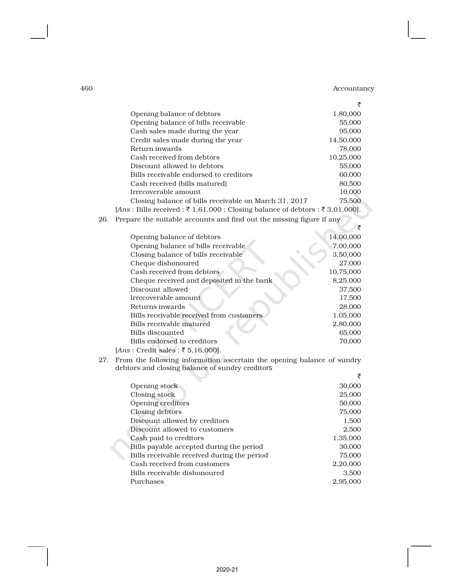460 Accountancy

|     |                                                                              | ₹         |
|-----|------------------------------------------------------------------------------|-----------|
|     | Opening balance of debtors                                                   | 1,80,000  |
|     | Opening balance of bills receivable                                          | 55,000    |
|     | Cash sales made during the year                                              | 95,000    |
|     | Credit sales made during the year                                            | 14,50,000 |
|     | Return inwards                                                               | 78,000    |
|     | Cash received from debtors                                                   | 10,25,000 |
|     | Discount allowed to debtors                                                  | 55,000    |
|     | Bills receivable endorsed to creditors                                       | 60,000    |
|     | Cash received (bills matured)                                                | 80,500    |
|     | Irrecoverable amount                                                         | 10,000    |
|     | Closing balance of bills receivable on March 31, 2017                        | 75,500    |
|     | [Ans : Bills received : ₹1,61,000 ; Closing balance of debtors : ₹3,01,000]. |           |
| 26. | Prepare the suitable accounts and find out the missing figure if any.        |           |
|     |                                                                              | ₹         |
|     | Opening balance of debtors                                                   | 14,00,000 |
|     | Opening balance of bills receivable                                          | 7,00,000  |
|     | Closing balance of bills receivable                                          | 3,50,000  |
|     | Cheque dishonoured                                                           | 27,000    |
|     | Cash received from debtors                                                   | 10,75,000 |
|     | Cheque received and deposited in the bank                                    | 8,25,000  |
|     | Discount allowed                                                             | 37,500    |
|     | Irrecoverable amount                                                         | 17,500    |
|     | Returns inwards                                                              | 28,000    |
|     | Bills receivable received from customers                                     | 1,05,000  |
|     | Bills receivable matured                                                     | 2,80,000  |
|     | <b>Bills discounted</b>                                                      | 65,000    |
|     | Bills endorsed to creditors                                                  | 70,000    |
|     | [Ans: Credit sales : ₹ 5,16,000].                                            |           |
| 27. | From the following information ascertain the opening balance of sundry       |           |
|     | debtors and closing balance of sundry creditors                              |           |
|     |                                                                              | ₹         |
|     | Opening stock                                                                | 30,000    |
|     | Closing stock                                                                | 25,000    |
|     | Opening creditors                                                            | 50,000    |
|     | Closing debtors                                                              | 75,000    |
|     | Discount allowed by creditors                                                | 1,500     |
|     | Discount allowed to customers                                                | 2,500     |
|     | Cash paid to creditors                                                       | 1,35,000  |
|     | Bills payable accepted during the period                                     | 30,000    |
|     | Bills receivable received during the period                                  | 75,000    |
|     | Cash received from customers                                                 | 2,20,000  |
|     | Bills receivable dishonoured                                                 | 3,500     |
|     | Purchases                                                                    | 2,95,000  |
|     |                                                                              |           |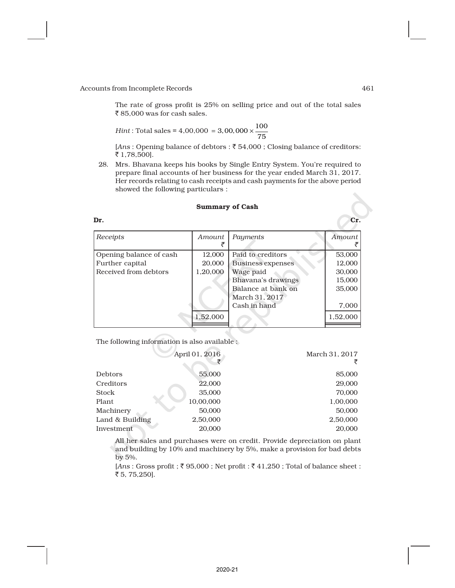The rate of gross profit is 25% on selling price and out of the total sales ₹85,000 was for cash sales.

*Hint*: Total sales = 4,00,000 = 3,00,000 
$$
\times \frac{100}{75}
$$

 $[Ans: Opening\ balance\ of\ debtors: \mathbf{\mathbf{\overline{5} \cdot 54,000}}$  ; Closing balance of creditors: ₹1,78,500].

28. Mrs. Bhavana keeps his books by Single Entry System. You're required to prepare final accounts of her business for the year ended March 31, 2017. Her records relating to cash receipts and cash payments for the above period showed the following particulars :

#### Summary of Cash

| Dr. | Cr. |
|-----|-----|
|     |     |

| Receipts                | Amount   | Payments                 | Amount   |
|-------------------------|----------|--------------------------|----------|
| Opening balance of cash | 12.000   | Paid to creditors        | 53,000   |
| Further capital         | 20,000   | <b>Business expenses</b> | 12,000   |
| Received from debtors   | 1,20,000 | Wage paid                | 30,000   |
|                         |          | Bhavana's drawings       | 15,000   |
|                         |          | Balance at bank on       | 35,000   |
|                         |          | March 31, 2017           |          |
|                         |          | Cash in hand             | 7,000    |
|                         | 1,52,000 |                          | 1,52,000 |

The following information is also available :

|                 | April 01, 2016 | March 31, 2017<br>₹ |
|-----------------|----------------|---------------------|
| Debtors         | 55,000         | 85,000              |
| Creditors       | 22,000         | 29,000              |
| <b>Stock</b>    | 35,000         | 70,000              |
| Plant           | 10,00,000      | 1,00,000            |
| Machinery       | 50,000         | 50,000              |
| Land & Building | 2,50,000       | 2,50,000            |
| Investment      | 20,000         | 20,000              |

All her sales and purchases were on credit. Provide depreciation on plant and building by 10% and machinery by 5%, make a provision for bad debts by 5%.

 $[Ans: \text{Gross profit}: \mathbf{F} 95,000$  ; Net profit :  $\mathbf{F} 41,250$  ; Total of balance sheet : ₹ 5, 75,250].